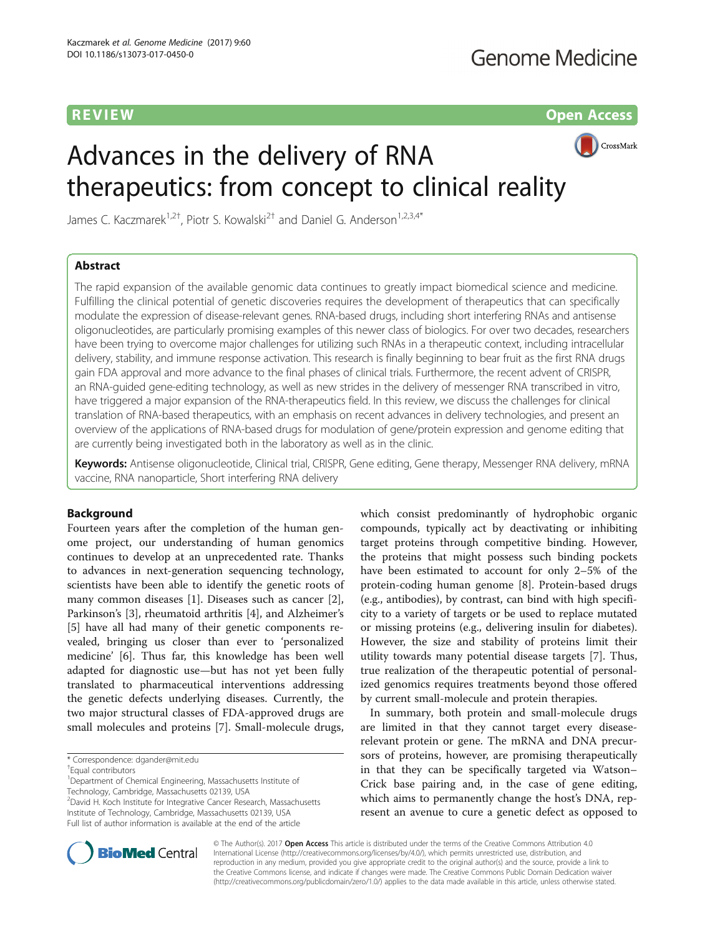R EVI EW Open Access

# CrossMark

James C. Kaczmarek<sup>1,2†</sup>, Piotr S. Kowalski<sup>2†</sup> and Daniel G. Anderson<sup>1,2,3,4\*</sup>

Advances in the delivery of RNA

therapeutics: from concept to clinical reality

# Abstract

The rapid expansion of the available genomic data continues to greatly impact biomedical science and medicine. Fulfilling the clinical potential of genetic discoveries requires the development of therapeutics that can specifically modulate the expression of disease-relevant genes. RNA-based drugs, including short interfering RNAs and antisense oligonucleotides, are particularly promising examples of this newer class of biologics. For over two decades, researchers have been trying to overcome major challenges for utilizing such RNAs in a therapeutic context, including intracellular delivery, stability, and immune response activation. This research is finally beginning to bear fruit as the first RNA drugs gain FDA approval and more advance to the final phases of clinical trials. Furthermore, the recent advent of CRISPR, an RNA-guided gene-editing technology, as well as new strides in the delivery of messenger RNA transcribed in vitro, have triggered a major expansion of the RNA-therapeutics field. In this review, we discuss the challenges for clinical translation of RNA-based therapeutics, with an emphasis on recent advances in delivery technologies, and present an overview of the applications of RNA-based drugs for modulation of gene/protein expression and genome editing that are currently being investigated both in the laboratory as well as in the clinic.

Keywords: Antisense oligonucleotide, Clinical trial, CRISPR, Gene editing, Gene therapy, Messenger RNA delivery, mRNA vaccine, RNA nanoparticle, Short interfering RNA delivery

# Background

Fourteen years after the completion of the human genome project, our understanding of human genomics continues to develop at an unprecedented rate. Thanks to advances in next-generation sequencing technology, scientists have been able to identify the genetic roots of many common diseases [\[1](#page-11-0)]. Diseases such as cancer [\[2](#page-11-0)], Parkinson's [[3\]](#page-12-0), rheumatoid arthritis [\[4](#page-12-0)], and Alzheimer's [[5\]](#page-12-0) have all had many of their genetic components revealed, bringing us closer than ever to 'personalized medicine' [[6\]](#page-12-0). Thus far, this knowledge has been well adapted for diagnostic use—but has not yet been fully translated to pharmaceutical interventions addressing the genetic defects underlying diseases. Currently, the two major structural classes of FDA-approved drugs are small molecules and proteins [[7\]](#page-12-0). Small-molecule drugs,

\* Correspondence: [dgander@mit.edu](mailto:dgander@mit.edu) †

<sup>1</sup>Department of Chemical Engineering, Massachusetts Institute of

Technology, Cambridge, Massachusetts 02139, USA

2 David H. Koch Institute for Integrative Cancer Research, Massachusetts Institute of Technology, Cambridge, Massachusetts 02139, USA Full list of author information is available at the end of the article

which consist predominantly of hydrophobic organic compounds, typically act by deactivating or inhibiting target proteins through competitive binding. However, the proteins that might possess such binding pockets have been estimated to account for only 2–5% of the protein-coding human genome [\[8](#page-12-0)]. Protein-based drugs (e.g., antibodies), by contrast, can bind with high specificity to a variety of targets or be used to replace mutated or missing proteins (e.g., delivering insulin for diabetes). However, the size and stability of proteins limit their utility towards many potential disease targets [\[7](#page-12-0)]. Thus, true realization of the therapeutic potential of personalized genomics requires treatments beyond those offered by current small-molecule and protein therapies.

In summary, both protein and small-molecule drugs are limited in that they cannot target every diseaserelevant protein or gene. The mRNA and DNA precursors of proteins, however, are promising therapeutically in that they can be specifically targeted via Watson– Crick base pairing and, in the case of gene editing, which aims to permanently change the host's DNA, represent an avenue to cure a genetic defect as opposed to



© The Author(s). 2017 **Open Access** This article is distributed under the terms of the Creative Commons Attribution 4.0 International License [\(http://creativecommons.org/licenses/by/4.0/](http://creativecommons.org/licenses/by/4.0/)), which permits unrestricted use, distribution, and reproduction in any medium, provided you give appropriate credit to the original author(s) and the source, provide a link to the Creative Commons license, and indicate if changes were made. The Creative Commons Public Domain Dedication waiver [\(http://creativecommons.org/publicdomain/zero/1.0/](http://creativecommons.org/publicdomain/zero/1.0/)) applies to the data made available in this article, unless otherwise stated.

Equal contributors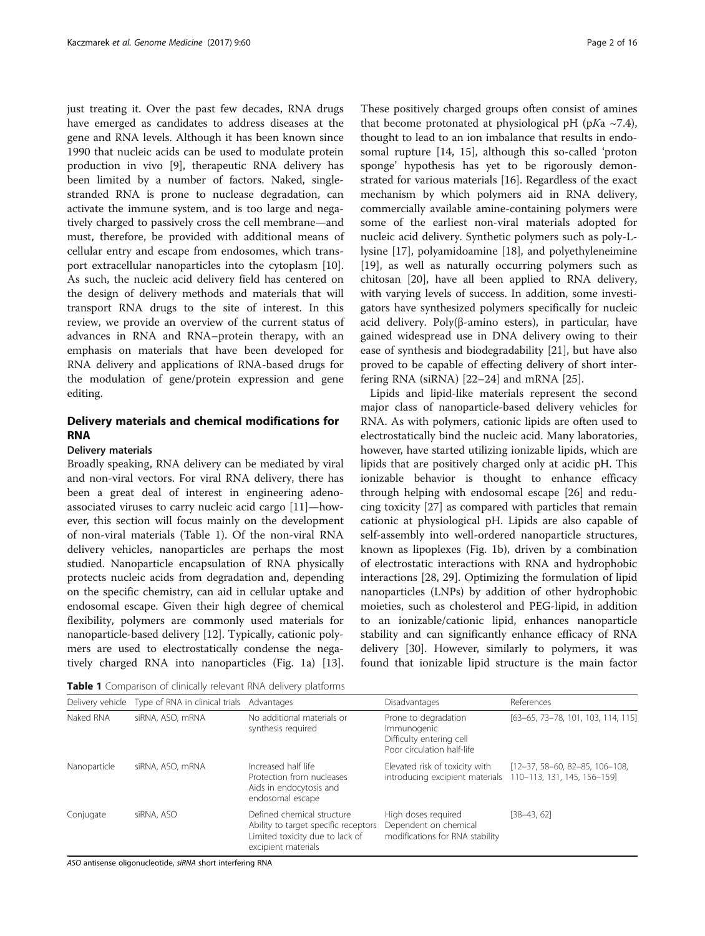just treating it. Over the past few decades, RNA drugs have emerged as candidates to address diseases at the gene and RNA levels. Although it has been known since 1990 that nucleic acids can be used to modulate protein production in vivo [\[9](#page-12-0)], therapeutic RNA delivery has been limited by a number of factors. Naked, singlestranded RNA is prone to nuclease degradation, can activate the immune system, and is too large and negatively charged to passively cross the cell membrane—and must, therefore, be provided with additional means of cellular entry and escape from endosomes, which transport extracellular nanoparticles into the cytoplasm [\[10](#page-12-0)]. As such, the nucleic acid delivery field has centered on the design of delivery methods and materials that will transport RNA drugs to the site of interest. In this review, we provide an overview of the current status of advances in RNA and RNA–protein therapy, with an emphasis on materials that have been developed for RNA delivery and applications of RNA-based drugs for the modulation of gene/protein expression and gene editing.

# Delivery materials and chemical modifications for RNA

# Delivery materials

Broadly speaking, RNA delivery can be mediated by viral and non-viral vectors. For viral RNA delivery, there has been a great deal of interest in engineering adenoassociated viruses to carry nucleic acid cargo [[11](#page-12-0)]—however, this section will focus mainly on the development of non-viral materials (Table 1). Of the non-viral RNA delivery vehicles, nanoparticles are perhaps the most studied. Nanoparticle encapsulation of RNA physically protects nucleic acids from degradation and, depending on the specific chemistry, can aid in cellular uptake and endosomal escape. Given their high degree of chemical flexibility, polymers are commonly used materials for nanoparticle-based delivery [[12](#page-12-0)]. Typically, cationic polymers are used to electrostatically condense the negatively charged RNA into nanoparticles (Fig. [1a](#page-2-0)) [\[13](#page-12-0)].

Table 1 Comparison of clinically relevant RNA delivery platforms

These positively charged groups often consist of amines that become protonated at physiological pH (pKa  $\sim$ 7.4), thought to lead to an ion imbalance that results in endosomal rupture [[14, 15](#page-12-0)], although this so-called 'proton sponge' hypothesis has yet to be rigorously demonstrated for various materials [\[16](#page-12-0)]. Regardless of the exact mechanism by which polymers aid in RNA delivery, commercially available amine-containing polymers were some of the earliest non-viral materials adopted for nucleic acid delivery. Synthetic polymers such as poly-Llysine [\[17](#page-12-0)], polyamidoamine [\[18\]](#page-12-0), and polyethyleneimine [[19\]](#page-12-0), as well as naturally occurring polymers such as chitosan [\[20](#page-12-0)], have all been applied to RNA delivery, with varying levels of success. In addition, some investigators have synthesized polymers specifically for nucleic acid delivery. Poly(β-amino esters), in particular, have gained widespread use in DNA delivery owing to their ease of synthesis and biodegradability [[21\]](#page-12-0), but have also proved to be capable of effecting delivery of short interfering RNA (siRNA) [[22](#page-12-0)–[24](#page-12-0)] and mRNA [\[25](#page-12-0)].

Lipids and lipid-like materials represent the second major class of nanoparticle-based delivery vehicles for RNA. As with polymers, cationic lipids are often used to electrostatically bind the nucleic acid. Many laboratories, however, have started utilizing ionizable lipids, which are lipids that are positively charged only at acidic pH. This ionizable behavior is thought to enhance efficacy through helping with endosomal escape [\[26\]](#page-12-0) and reducing toxicity [\[27](#page-12-0)] as compared with particles that remain cationic at physiological pH. Lipids are also capable of self-assembly into well-ordered nanoparticle structures, known as lipoplexes (Fig. [1b\)](#page-2-0), driven by a combination of electrostatic interactions with RNA and hydrophobic interactions [\[28, 29\]](#page-12-0). Optimizing the formulation of lipid nanoparticles (LNPs) by addition of other hydrophobic moieties, such as cholesterol and PEG-lipid, in addition to an ionizable/cationic lipid, enhances nanoparticle stability and can significantly enhance efficacy of RNA delivery [[30](#page-12-0)]. However, similarly to polymers, it was found that ionizable lipid structure is the main factor

| Delivery vehicle | Type of RNA in clinical trials | Advantages                                                                                                                   | Disadvantages                                                                                 | References                                                      |
|------------------|--------------------------------|------------------------------------------------------------------------------------------------------------------------------|-----------------------------------------------------------------------------------------------|-----------------------------------------------------------------|
| Naked RNA        | siRNA, ASO, mRNA               | No additional materials or<br>synthesis required                                                                             | Prone to degradation<br>Immunogenic<br>Difficulty entering cell<br>Poor circulation half-life | [63-65, 73-78, 101, 103, 114, 115]                              |
| Nanoparticle     | siRNA, ASO, mRNA               | Increased half life<br>Protection from nucleases<br>Aids in endocytosis and<br>endosomal escape                              | Elevated risk of toxicity with<br>introducing excipient materials                             | $[12-37, 58-60, 82-85, 106-108,$<br>110-113, 131, 145, 156-159] |
| Conjugate        | siRNA, ASO                     | Defined chemical structure<br>Ability to target specific receptors<br>Limited toxicity due to lack of<br>excipient materials | High doses required<br>Dependent on chemical<br>modifications for RNA stability               | $[38-43, 62]$                                                   |

ASO antisense oligonucleotide, siRNA short interfering RNA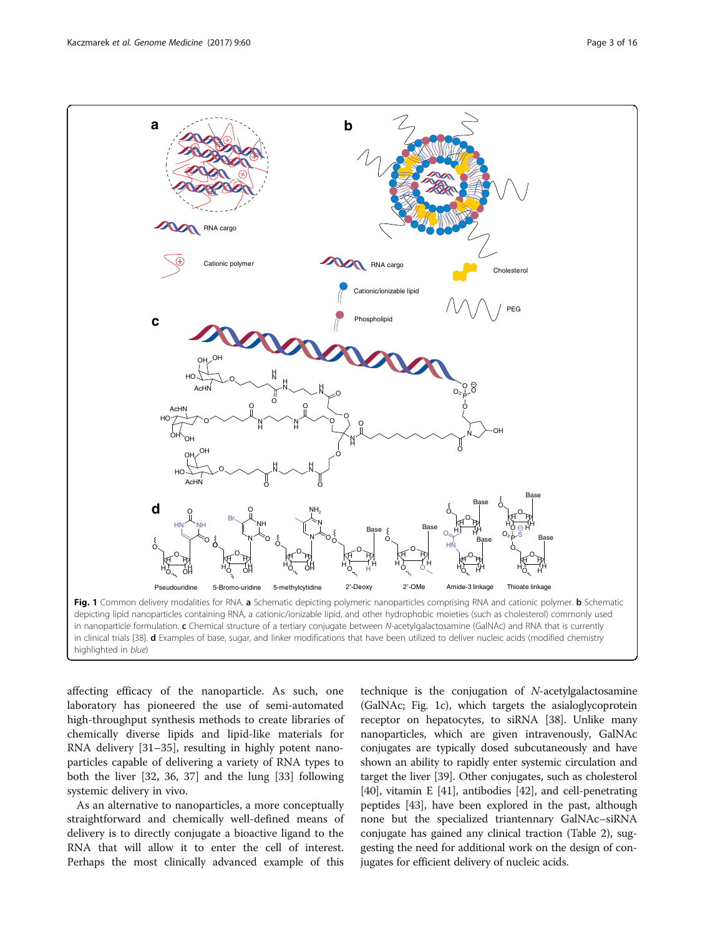<span id="page-2-0"></span>

in clinical trials [[38](#page-12-0)]. d Examples of base, sugar, and linker modifications that have been utilized to deliver nucleic acids (modified chemistry highlighted in blue)

affecting efficacy of the nanoparticle. As such, one laboratory has pioneered the use of semi-automated high-throughput synthesis methods to create libraries of chemically diverse lipids and lipid-like materials for RNA delivery [\[31](#page-12-0)–[35\]](#page-12-0), resulting in highly potent nanoparticles capable of delivering a variety of RNA types to both the liver [[32](#page-12-0), [36, 37](#page-12-0)] and the lung [\[33](#page-12-0)] following systemic delivery in vivo.

As an alternative to nanoparticles, a more conceptually straightforward and chemically well-defined means of delivery is to directly conjugate a bioactive ligand to the RNA that will allow it to enter the cell of interest. Perhaps the most clinically advanced example of this

technique is the conjugation of N-acetylgalactosamine (GalNAc; Fig. 1c), which targets the asialoglycoprotein receptor on hepatocytes, to siRNA [[38](#page-12-0)]. Unlike many nanoparticles, which are given intravenously, GalNAc conjugates are typically dosed subcutaneously and have shown an ability to rapidly enter systemic circulation and target the liver [[39\]](#page-12-0). Other conjugates, such as cholesterol [[40](#page-12-0)], vitamin E [[41](#page-12-0)], antibodies [[42](#page-12-0)], and cell-penetrating peptides [[43](#page-12-0)], have been explored in the past, although none but the specialized triantennary GalNAc–siRNA conjugate has gained any clinical traction (Table [2\)](#page-3-0), suggesting the need for additional work on the design of conjugates for efficient delivery of nucleic acids.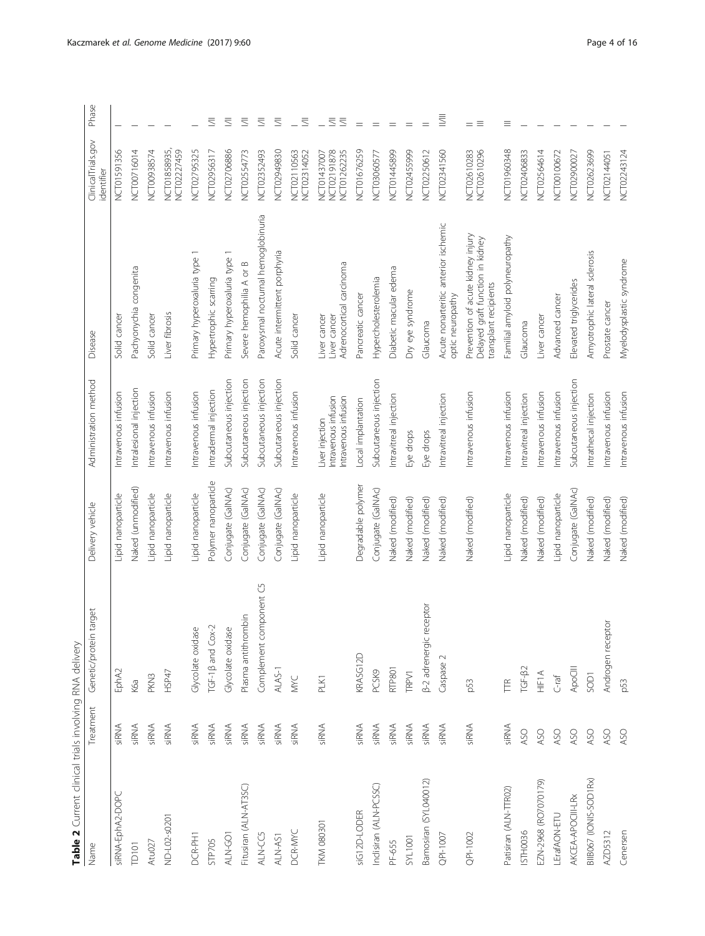<span id="page-3-0"></span>

| Table 2 Current clinical trials involving RNA delivery |              |                             |                      |                                                                |                                                                                                |                                           |                      |
|--------------------------------------------------------|--------------|-----------------------------|----------------------|----------------------------------------------------------------|------------------------------------------------------------------------------------------------|-------------------------------------------|----------------------|
| Name                                                   | Treatment    | target<br>Genetic/protein   | Delivery vehicle     | Administration method                                          | Disease                                                                                        | ClinicalTrials.gov<br>identifier          | Phase                |
| siRNA-EphA2-DOPC                                       | siRNA        | EphA2                       | Lipid nanoparticle   | Intravenous infusion                                           | Solid cancer                                                                                   | NCT01591356                               |                      |
| TD101                                                  | SiRNA        | K6a                         | Naked (unmodified)   | Intralesional injection                                        | Pachyonychia congenita                                                                         | NCT00716014                               |                      |
| AtuO27                                                 | SiRNA        | PKN3                        | Lipid nanoparticle   | Intravenous infusion                                           | Solid cancer                                                                                   | NCT00938574                               |                      |
| ND-L02-s0201                                           | SIRNA        | HSP47                       | Lipid nanoparticle   | Intravenous infusion                                           | Liver fibrosis                                                                                 | NCT01858935,<br>NCT02227459               |                      |
| DCR-PH1                                                | siRNA        | Glycolate oxidase           | Lipid nanoparticle   | Intravenous infusion                                           | Primary hyperoxaluria type 1                                                                   | NCT02795325                               |                      |
| <b>STP705</b>                                          | SiRNA        | TGF-1B and Cox-2            | Polymer nanoparticle | Intradermal injection                                          | Hypertrophic scarring                                                                          | NCT02956317                               | $\equiv$             |
| ALN-GO1                                                | SIRNA        | Glycolate oxidase           | Conjugate (GalNAc)   | Subcutaneous injection                                         | Primary hyperoxaluria type 1                                                                   | NCT02706886                               | $\equiv$             |
| Fitusiran (ALN-AT3SC)                                  | <b>SiRNA</b> | Plasma antithrombin         | Conjugate (GaINAc)   | Subcutaneous injection                                         | Severe hemophilia A or B                                                                       | NCT02554773                               | $\equiv$             |
| ALN-CC5                                                | SiRNA        | mponent C5<br>Complement co | Conjugate (GaINAc)   | Subcutaneous injection                                         | Paroxysmal nocturnal hemoglobinuria                                                            | NCT02352493                               | $\equiv$             |
| ALN-AS1                                                | siRNA        | ALAS-1                      | Conjugate (GaINAc)   | Subcutaneous injection                                         | Acute intermittent porphyria                                                                   | NCT02949830                               | $\equiv$             |
| DCR-MYC                                                | siRNA        | MKC                         | Lipid nanoparticle   | Intravenous infusion                                           | Solid cancer                                                                                   | NCT02110563<br>NCT02314052                | $\equiv$             |
| <b>TKM 080301</b>                                      | SiRNA        | PLK1                        | Lipid nanoparticle   | Intravenous infusion<br>ntravenous infusion<br>Liver injection | Adrenocortical carcinoma<br>Liver cancer<br>Liver cancer                                       | NCT02191878<br>NCT01262235<br>NCT01437007 | $\equiv$<br>$\equiv$ |
| siG12D-LODER                                           | SiRNA        | KRASG12D                    | Degradable polymer   | Local implantation                                             | Pancreatic cancer                                                                              | NCT01676259                               | $=$                  |
| Inclisiran (ALN-PCSSC)                                 | SiRNA        | PCSK9                       | Conjugate (GaINAC)   | Subcutaneous injection                                         | Hypercholesterolemia                                                                           | NCT03060577                               | $=$                  |
| PF-655                                                 | SiRNA        | RTP801                      | Naked (modified)     | Intravitreal injection                                         | Diabetic macular edema                                                                         | NCT01445899                               | $\!\!\!=\!\!\!\!$    |
| <b>SYL1001</b>                                         | <b>SiRNA</b> | TRPV1                       | Naked (modified)     | Eye drops                                                      | Dry eye syndrome                                                                               | NCT02455999                               | $=$                  |
| Bamosiran (SYL040012)                                  | SiRNA        | β-2 adrenergic receptor     | Naked (modified)     | Eye drops                                                      | Glaucoma                                                                                       | NCT02250612                               |                      |
| QPI-1007                                               | siRNA        | Caspase                     | Naked (modified)     | Intravitreal injection                                         | Acute nonarteritic anterior ischemic<br>optic neuropathy                                       | NCT02341560                               | $\equiv$             |
| QPI-1002                                               | SIRNA        | p53                         | Naked (modified)     | Intravenous infusion                                           | Prevention of acute kidney injury<br>Delayed graft function in kidney<br>transplant recipients | NCT02610283<br>NCT02610296                | $=$ $\equiv$         |
| Patisiran (ALN-TTR02)                                  | SIRNA        | $E_{\rm E}$                 | Lipid nanoparticle   | Intravenous infusion                                           | Familial amyloid polyneuropathy                                                                | NCT01960348                               | ≡                    |
| ISTH0036                                               | ASO          | $TGF-\beta2$                | Naked (modified)     | Intravitreal injection                                         | Glaucoma                                                                                       | NCT02406833                               |                      |
| EZN-2968 (RO7070179)                                   | ASO          | HIFIA                       | Naked (modified)     | Intravenous infusion                                           | Liver cancer                                                                                   | NCT02564614                               |                      |
| LErafAON-ETU                                           | ASO          | $C$ -raf                    | Lipid nanoparticle   | Intravenous infusion                                           | Advanced cancer                                                                                | NCT00100672                               |                      |
| AKCEA-APOCIII-LRx                                      | ASO          | ApoCIII                     | Conjugate (GalNAc)   | Subcutaneous injection                                         | Elevated triglycerides                                                                         | NCT02900027                               |                      |
| BIB067 (IONIS-SOD1RX)                                  | ASO          | SOD1                        | Naked (modified)     | Intrathecal injection                                          | Amyotrophic lateral sclerosis                                                                  | NCT02623699                               |                      |
| AZD5312                                                | ASO          | Androgen receptor           | Naked (modified)     | Intravenous infusion                                           | Prostate cancer                                                                                | NCT02144051                               |                      |
| Cenersen                                               | ASO          | p53                         | Naked (modified)     | Intravenous infusion                                           | Myelodysplastic syndrome                                                                       | NCT02243124                               |                      |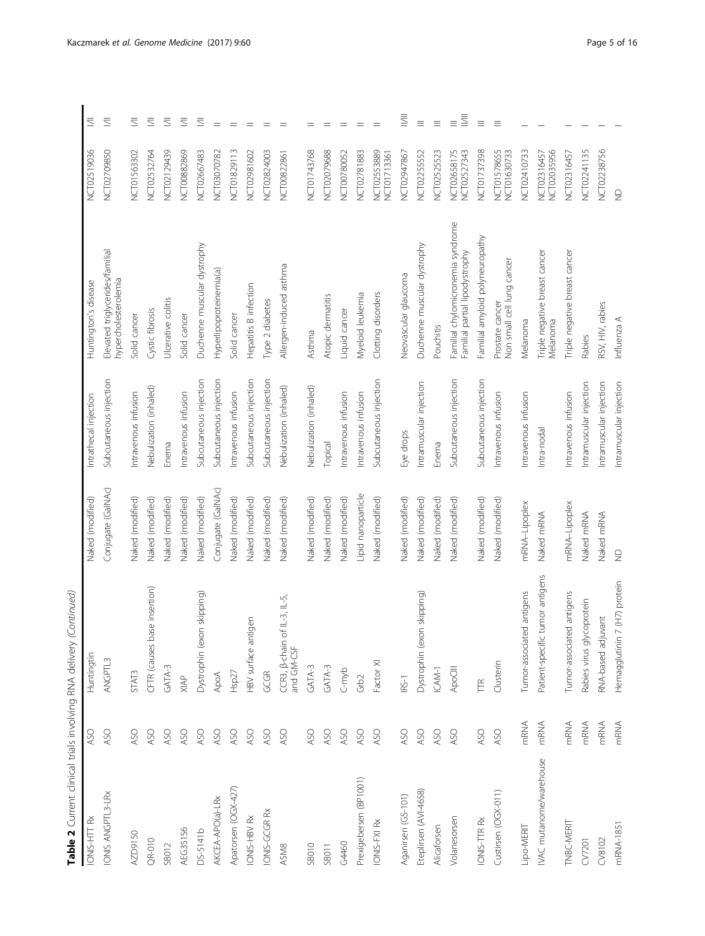| Table 2 Current clinical trials involving RNA delivery (Continued) |            |                                            |                    |                         |                                                                     |                                   |                                              |
|--------------------------------------------------------------------|------------|--------------------------------------------|--------------------|-------------------------|---------------------------------------------------------------------|-----------------------------------|----------------------------------------------|
| IONIS-HTT Rx                                                       | <b>ASO</b> | Huntingtin                                 | Naked (modified)   | Intrathecal injection   | Huntington's disease                                                | NCT02519036                       | $\equiv$                                     |
| IONIS ANGPTL3-LRx                                                  | ASO        | ANGPTL3                                    | Conjugate (GalNAc) | Subcutaneous injection  | Elevated triglycerides/familial<br>hypercholesterolemia             | NCT02709850                       | $\equiv$                                     |
| AZD9150                                                            | ASO        | STAT3                                      | Naked (modified)   | Intravenous infusion    | Solid cancer                                                        | NCT01563302                       | $\equiv$                                     |
| $QR-010$                                                           | ASO        | CFTR (causes base insertion)               | Naked (modified)   | Nebulization (inhaled)  | Cystic fibrosis                                                     | NCT02532764                       | $\equiv$                                     |
| SB012                                                              | ASO        | $GATA-3$                                   | Naked (modified)   | Enema                   | Ulcerative colitis                                                  | NCT02129439                       | $\overline{\mathbb{S}}$                      |
| AEG35156                                                           | ASO        | XIAP                                       | Naked (modified)   | Intravenous infusion    | Solid cancer                                                        | NCT00882869                       | $\overline{\leq}$                            |
| DS-5141b                                                           | ASO        | Dystrophin (exon skipping)                 | Naked (modified)   | Subcutaneous injection  | Duchenne muscular dystrophy                                         | NCT02667483                       | $\equiv$                                     |
| AKCEA-APO(a)-LRx                                                   | ASO        | ApoA                                       | Conjugate (GaINAC) | Subcutaneous injection  | Hyperlipoproteinemia(a)                                             | NCT03070782                       | $\!\!\!=\!\!\!\!$                            |
| Apatorsen (OGX-427)                                                | ASO        | Hsp27                                      | Naked (modified)   | Intravenous infusion    | Solid cancer                                                        | NCT01829113                       | $\!=$                                        |
| IONIS-HBV Rx                                                       | ASO        | HBV surface antigen                        | Naked (modified)   | Subcutaneous injection  | Hepatitis B infection                                               | NCT02981602                       | $\hspace*{0.4em} = \hspace*{0.4em}$          |
| IONIS-GCGR Rx                                                      | ASO        | GCGR                                       | Naked (modified)   | Subcutaneous injection  | Type 2 diabetes                                                     | NCT02824003                       | $=$                                          |
| ASM8                                                               | ASO        | CCR3, B-chain of IL-3, IL-5,<br>and GM-CSF | Naked (modified)   | Nebulization (inhaled)  | Allergen-induced asthma                                             | NCT00822861                       | $=$                                          |
| SB010                                                              | ASO        | $GATA-3$                                   | Naked (modified)   | Nebulization (inhaled)  | Asthma                                                              | NCT01743768                       | $=$                                          |
| SB011                                                              | ASO        | $GATA-3$                                   | Naked (modified)   | Topical                 | Atopic dermatitis                                                   | NCT02079688                       | $\displaystyle \qquad \qquad =\qquad \qquad$ |
| G4460                                                              | ASO        | C-myb                                      | Naked (modified)   | Intravenous infusion    | Liquid cancer                                                       | NCT00780052                       | $=$                                          |
| Prexigebersen (BP1001)                                             | ASO        | Grb2                                       | Lipid nanoparticle | Intravenous infusion    | Myeloid leukemia                                                    | NCT02781883                       | $\!\!\!=\!\!\!\!$                            |
| IONIS-FXI Rx                                                       | ASO        | Factor XI                                  | Naked (modified)   | Subcutaneous injection  | Clotting disorders                                                  | NCT02553889<br>NCT01713361        | $\!\!\!=\!\!\!\!$                            |
| Aganirsen (GS-101)                                                 | ASO        | IRS-1                                      | Naked (modified)   | Eye drops               | Neovascular glaucoma                                                | NCT02947867                       | $\equiv$                                     |
| Eteplirsen (AVI-4658)                                              | ASO        | n skipping)<br>Dystrophin (exo             | Naked (modified)   | Intramuscular injection | Duchenne muscular dystrophy                                         | NCT02255552                       | $\equiv$                                     |
| Alicaforsen                                                        | ASO        | $ICAM-1$                                   | Naked (modified)   | Enema                   | Pouchitis                                                           | NCT02525523                       | $\equiv$                                     |
| Volanesorsen                                                       | ASO        | ApoCIII                                    | Naked (modified)   | Subcutaneous injection  | Familial chylomicronemia syndrome<br>Familial partial lipodystrophy | NCT02658175<br><b>NCT02527343</b> | $\equiv$<br>$\equiv$                         |
| IONIS-TTR Rx                                                       | ASO        | E                                          | Naked (modified)   | Subcutaneous injection  | Familial amyloid polyneuropathy                                     | NCT01737398                       | $\equiv$                                     |
| Custirsen (OGX-011)                                                | ASO        | Clusterin                                  | Naked (modified)   | Intravenous infusion    | Non small cell lung cancer<br>Prostate cancer                       | NCT01578655<br>NCT01630733        | $\equiv$                                     |
| Lipo-MERIT                                                         | mRNA       | Tumor-associated antigens                  | mRNA-Lipoplex      | Intravenous infusion    | Melanoma                                                            | NCT02410733                       |                                              |
| IVAC mutanome/warehouse                                            | mRNA       | tumor antigens<br>Patient-specific         | Naked mRNA         | Intra-nodal             | Triple negative breast cancer<br>Melanoma                           | NCT02035956<br>NCT02316457        |                                              |
| TNBC-MERIT                                                         | mRNA       | Tumor-associated antigens                  | mRNA-Lipoplex      | Intravenous infusion    | Triple negative breast cancer                                       | NCT02316457                       |                                              |
| CV7201                                                             | mRNA       | Rabies virus glycoprotein                  | Naked mRNA         | Intramuscular injection | Rabies                                                              | NCT02241135                       |                                              |
| CV8102                                                             | mRNA       | RNA-based adjuvant                         | Naked mRNA         | Intramuscular injection | RSV, HIV, rabies                                                    | NCT02238756                       |                                              |
| mRNA-1851                                                          | mRNA       | 7 (H7) protein<br>Hemagglutinin            | $\supseteq$        | Intramuscular injection | Influenza A                                                         | $\frac{\Omega}{Z}$                |                                              |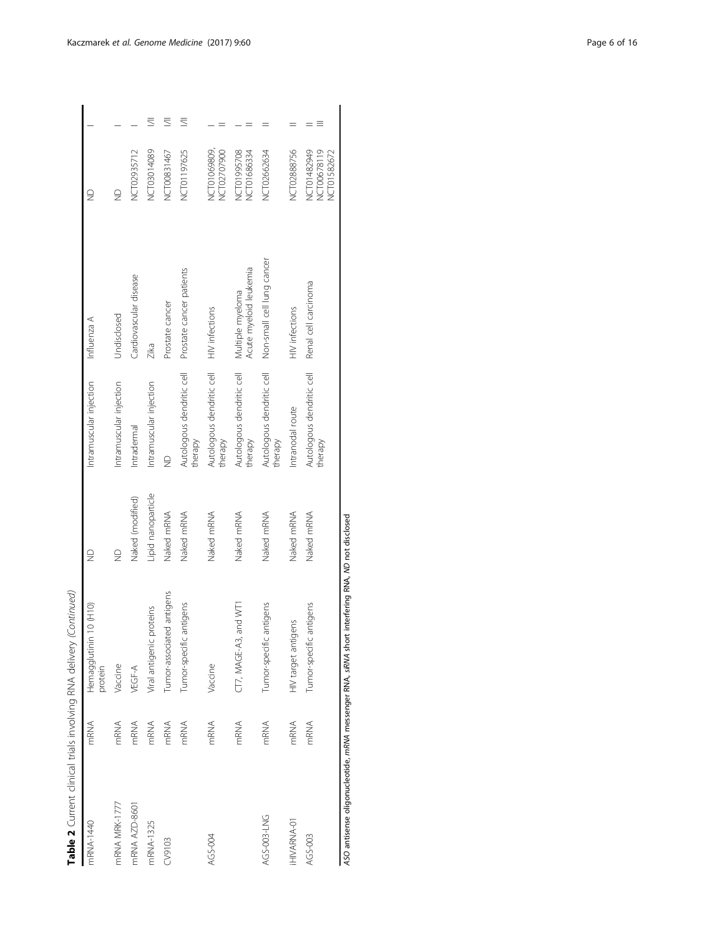|                    |             | Table 2 Current clinical trials involving RNA delivery (Continued) |                    |                                                     |                                            |                                           |   |
|--------------------|-------------|--------------------------------------------------------------------|--------------------|-----------------------------------------------------|--------------------------------------------|-------------------------------------------|---|
| mRNA-1440          | <b>mRNA</b> | $0$ (H10)<br>Hemagglutinin 1<br>protein                            | $\supseteq$        | Intramuscular injection                             | Influenza A                                | $\supseteq$                               |   |
| mRNA MRK-1777      | mRNA        | Vaccine                                                            | $\supseteq$        | Intramuscular injection                             | Undisclosed                                | $\supseteq$                               |   |
| mRNA AZD-8601      | mRNA        | VEGF-A                                                             | Naked (modified)   | Intradermal                                         | Cardiovascular disease                     | NCT02935712                               |   |
| mRNA-1325          | mRNA        | Viral antigenic proteins                                           | Lipid nanoparticle | Intramuscular injection                             | Zika                                       | NCT03014089                               | ₹ |
| CV9103             | mRNA        | Tumor-associated antigens                                          | Naked mRNA         | $\supseteq$                                         | Prostate cancer                            | NCT00831467                               | ₹ |
|                    | mRNA        | Tumor-specific antigens                                            | Naked mRNA         | Autologous dendritic cell<br>therapy                | Prostate cancer patients                   | NCT01197625                               | ≣ |
| AGS-004            | mRNA        | Vaccine                                                            | Naked mRNA         | Autologous dendritic cell HIV infections<br>therapy |                                            | NCT01069809,<br>NCT02707900               |   |
|                    | mRNA        | CT7, MAGE-A3, and WT1                                              | Naked mRNA         | Autologous dendritic cell<br>therapy                | Acute myeloid leukemia<br>Multiple myeloma | NCT01995708<br>NCT01686334                |   |
| AGS-003-LNG        | mRNA        | Tumor-specific antigens                                            | Naked mRNA         | Autologous dendritic cell<br>therapy                | Non-small cell lung cancer                 | NCT02662634                               |   |
| <b>IHIVARNA-01</b> | mRNA        | HIV target antigens                                                | Naked mRNA         | Intranodal route                                    | HIV infections                             | NCT02888756                               |   |
| AGS-003            | mRNA        | Tumor-specific antigens                                            | Naked mRNA         | Autologous dendritic cell<br>therapy                | Renal cell carcinoma                       | NCT01482949<br>NCT00678119<br>NCT01582672 |   |

ASO antisense oligonucleotide, mRNA messenger RNA, siRNA short interfering RNA, ND not disclosed ASO antisense oligonucleotide, mRNA messenger RNA, siRNA short interfering RNA, ND not disclosed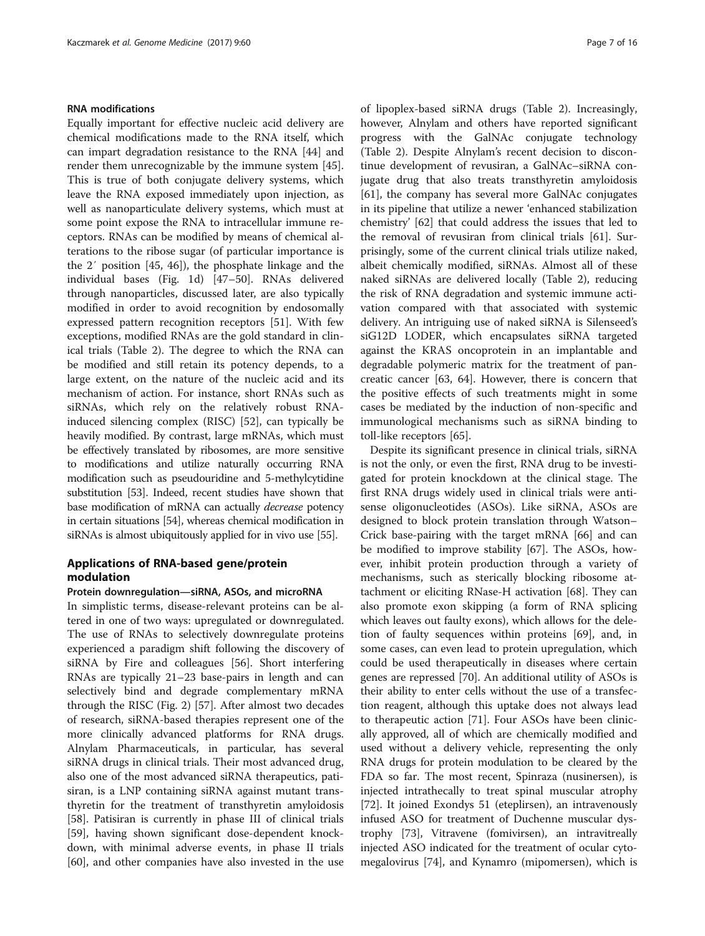# RNA modifications

Equally important for effective nucleic acid delivery are chemical modifications made to the RNA itself, which can impart degradation resistance to the RNA [[44](#page-12-0)] and render them unrecognizable by the immune system [\[45](#page-12-0)]. This is true of both conjugate delivery systems, which leave the RNA exposed immediately upon injection, as well as nanoparticulate delivery systems, which must at some point expose the RNA to intracellular immune receptors. RNAs can be modified by means of chemical alterations to the ribose sugar (of particular importance is the 2′ position [[45, 46](#page-12-0)]), the phosphate linkage and the individual bases (Fig. [1d](#page-2-0)) [\[47](#page-12-0)–[50\]](#page-12-0). RNAs delivered through nanoparticles, discussed later, are also typically modified in order to avoid recognition by endosomally expressed pattern recognition receptors [\[51](#page-12-0)]. With few exceptions, modified RNAs are the gold standard in clinical trials (Table [2](#page-3-0)). The degree to which the RNA can be modified and still retain its potency depends, to a large extent, on the nature of the nucleic acid and its mechanism of action. For instance, short RNAs such as siRNAs, which rely on the relatively robust RNAinduced silencing complex (RISC) [\[52\]](#page-13-0), can typically be heavily modified. By contrast, large mRNAs, which must be effectively translated by ribosomes, are more sensitive to modifications and utilize naturally occurring RNA modification such as pseudouridine and 5-methylcytidine substitution [[53](#page-13-0)]. Indeed, recent studies have shown that base modification of mRNA can actually decrease potency in certain situations [\[54\]](#page-13-0), whereas chemical modification in siRNAs is almost ubiquitously applied for in vivo use [[55](#page-13-0)].

# Applications of RNA-based gene/protein modulation

## Protein downregulation—siRNA, ASOs, and microRNA

In simplistic terms, disease-relevant proteins can be altered in one of two ways: upregulated or downregulated. The use of RNAs to selectively downregulate proteins experienced a paradigm shift following the discovery of siRNA by Fire and colleagues [\[56](#page-13-0)]. Short interfering RNAs are typically 21–23 base-pairs in length and can selectively bind and degrade complementary mRNA through the RISC (Fig. [2](#page-7-0)) [[57](#page-13-0)]. After almost two decades of research, siRNA-based therapies represent one of the more clinically advanced platforms for RNA drugs. Alnylam Pharmaceuticals, in particular, has several siRNA drugs in clinical trials. Their most advanced drug, also one of the most advanced siRNA therapeutics, patisiran, is a LNP containing siRNA against mutant transthyretin for the treatment of transthyretin amyloidosis [[58\]](#page-13-0). Patisiran is currently in phase III of clinical trials [[59\]](#page-13-0), having shown significant dose-dependent knockdown, with minimal adverse events, in phase II trials [[60\]](#page-13-0), and other companies have also invested in the use of lipoplex-based siRNA drugs (Table [2\)](#page-3-0). Increasingly, however, Alnylam and others have reported significant progress with the GalNAc conjugate technology (Table [2](#page-3-0)). Despite Alnylam's recent decision to discontinue development of revusiran, a GalNAc–siRNA conjugate drug that also treats transthyretin amyloidosis [[61\]](#page-13-0), the company has several more GalNAc conjugates in its pipeline that utilize a newer 'enhanced stabilization chemistry' [\[62](#page-13-0)] that could address the issues that led to the removal of revusiran from clinical trials [\[61](#page-13-0)]. Surprisingly, some of the current clinical trials utilize naked, albeit chemically modified, siRNAs. Almost all of these naked siRNAs are delivered locally (Table [2\)](#page-3-0), reducing the risk of RNA degradation and systemic immune activation compared with that associated with systemic delivery. An intriguing use of naked siRNA is Silenseed's siG12D LODER, which encapsulates siRNA targeted against the KRAS oncoprotein in an implantable and degradable polymeric matrix for the treatment of pancreatic cancer [\[63](#page-13-0), [64\]](#page-13-0). However, there is concern that the positive effects of such treatments might in some cases be mediated by the induction of non-specific and immunological mechanisms such as siRNA binding to toll-like receptors [\[65\]](#page-13-0).

Despite its significant presence in clinical trials, siRNA is not the only, or even the first, RNA drug to be investigated for protein knockdown at the clinical stage. The first RNA drugs widely used in clinical trials were antisense oligonucleotides (ASOs). Like siRNA, ASOs are designed to block protein translation through Watson– Crick base-pairing with the target mRNA [[66\]](#page-13-0) and can be modified to improve stability [\[67\]](#page-13-0). The ASOs, however, inhibit protein production through a variety of mechanisms, such as sterically blocking ribosome attachment or eliciting RNase-H activation [[68\]](#page-13-0). They can also promote exon skipping (a form of RNA splicing which leaves out faulty exons), which allows for the deletion of faulty sequences within proteins [[69](#page-13-0)], and, in some cases, can even lead to protein upregulation, which could be used therapeutically in diseases where certain genes are repressed [[70\]](#page-13-0). An additional utility of ASOs is their ability to enter cells without the use of a transfection reagent, although this uptake does not always lead to therapeutic action [[71](#page-13-0)]. Four ASOs have been clinically approved, all of which are chemically modified and used without a delivery vehicle, representing the only RNA drugs for protein modulation to be cleared by the FDA so far. The most recent, Spinraza (nusinersen), is injected intrathecally to treat spinal muscular atrophy [[72\]](#page-13-0). It joined Exondys 51 (eteplirsen), an intravenously infused ASO for treatment of Duchenne muscular dystrophy [\[73](#page-13-0)], Vitravene (fomivirsen), an intravitreally injected ASO indicated for the treatment of ocular cytomegalovirus [[74\]](#page-13-0), and Kynamro (mipomersen), which is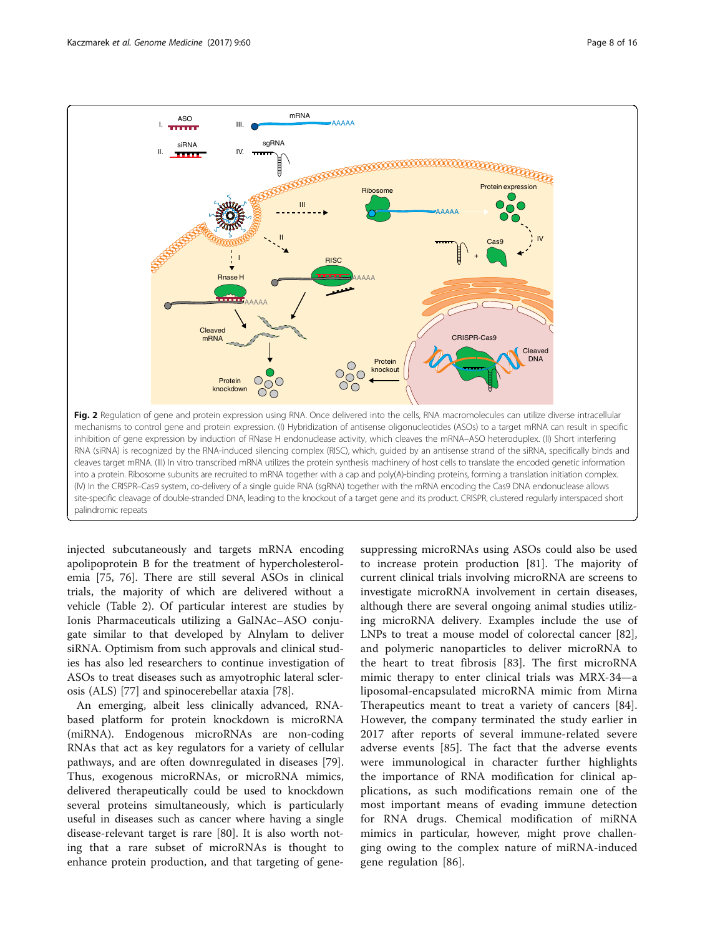<span id="page-7-0"></span>

injected subcutaneously and targets mRNA encoding apolipoprotein B for the treatment of hypercholesterolemia [\[75](#page-13-0), [76](#page-13-0)]. There are still several ASOs in clinical trials, the majority of which are delivered without a vehicle (Table [2\)](#page-3-0). Of particular interest are studies by Ionis Pharmaceuticals utilizing a GalNAc–ASO conjugate similar to that developed by Alnylam to deliver siRNA. Optimism from such approvals and clinical studies has also led researchers to continue investigation of ASOs to treat diseases such as amyotrophic lateral sclerosis (ALS) [[77\]](#page-13-0) and spinocerebellar ataxia [\[78](#page-13-0)].

An emerging, albeit less clinically advanced, RNAbased platform for protein knockdown is microRNA (miRNA). Endogenous microRNAs are non-coding RNAs that act as key regulators for a variety of cellular pathways, and are often downregulated in diseases [\[79](#page-13-0)]. Thus, exogenous microRNAs, or microRNA mimics, delivered therapeutically could be used to knockdown several proteins simultaneously, which is particularly useful in diseases such as cancer where having a single disease-relevant target is rare [\[80](#page-13-0)]. It is also worth noting that a rare subset of microRNAs is thought to enhance protein production, and that targeting of gene-

suppressing microRNAs using ASOs could also be used to increase protein production [[81](#page-13-0)]. The majority of current clinical trials involving microRNA are screens to investigate microRNA involvement in certain diseases, although there are several ongoing animal studies utilizing microRNA delivery. Examples include the use of LNPs to treat a mouse model of colorectal cancer [\[82](#page-13-0)], and polymeric nanoparticles to deliver microRNA to the heart to treat fibrosis [\[83](#page-13-0)]. The first microRNA mimic therapy to enter clinical trials was MRX-34—a liposomal-encapsulated microRNA mimic from Mirna Therapeutics meant to treat a variety of cancers [\[84](#page-13-0)]. However, the company terminated the study earlier in 2017 after reports of several immune-related severe adverse events [\[85](#page-13-0)]. The fact that the adverse events were immunological in character further highlights the importance of RNA modification for clinical applications, as such modifications remain one of the most important means of evading immune detection for RNA drugs. Chemical modification of miRNA mimics in particular, however, might prove challenging owing to the complex nature of miRNA-induced gene regulation [\[86](#page-13-0)].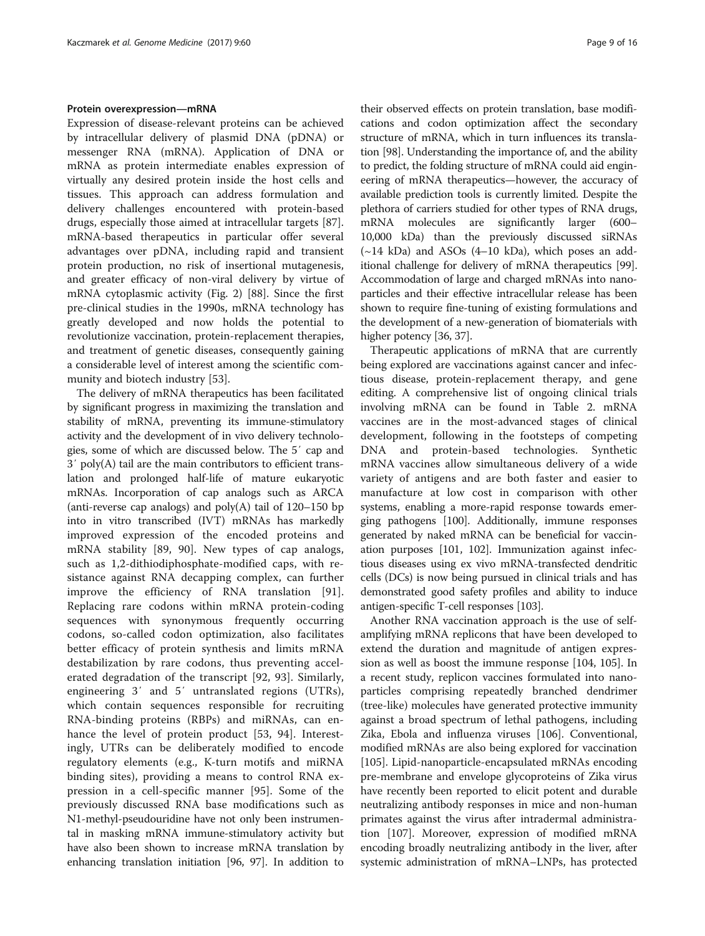# Protein overexpression—mRNA

Expression of disease-relevant proteins can be achieved by intracellular delivery of plasmid DNA (pDNA) or messenger RNA (mRNA). Application of DNA or mRNA as protein intermediate enables expression of virtually any desired protein inside the host cells and tissues. This approach can address formulation and delivery challenges encountered with protein-based drugs, especially those aimed at intracellular targets [\[87](#page-13-0)]. mRNA-based therapeutics in particular offer several advantages over pDNA, including rapid and transient protein production, no risk of insertional mutagenesis, and greater efficacy of non-viral delivery by virtue of mRNA cytoplasmic activity (Fig. [2\)](#page-7-0) [\[88](#page-13-0)]. Since the first pre-clinical studies in the 1990s, mRNA technology has greatly developed and now holds the potential to revolutionize vaccination, protein-replacement therapies, and treatment of genetic diseases, consequently gaining a considerable level of interest among the scientific community and biotech industry [\[53](#page-13-0)].

The delivery of mRNA therapeutics has been facilitated by significant progress in maximizing the translation and stability of mRNA, preventing its immune-stimulatory activity and the development of in vivo delivery technologies, some of which are discussed below. The 5′ cap and 3′ poly(A) tail are the main contributors to efficient translation and prolonged half-life of mature eukaryotic mRNAs. Incorporation of cap analogs such as ARCA (anti-reverse cap analogs) and  $poly(A)$  tail of 120–150 bp into in vitro transcribed (IVT) mRNAs has markedly improved expression of the encoded proteins and mRNA stability [[89, 90\]](#page-13-0). New types of cap analogs, such as 1,2-dithiodiphosphate-modified caps, with resistance against RNA decapping complex, can further improve the efficiency of RNA translation [\[91](#page-13-0)]. Replacing rare codons within mRNA protein-coding sequences with synonymous frequently occurring codons, so-called codon optimization, also facilitates better efficacy of protein synthesis and limits mRNA destabilization by rare codons, thus preventing accelerated degradation of the transcript [\[92](#page-13-0), [93](#page-13-0)]. Similarly, engineering 3′ and 5′ untranslated regions (UTRs), which contain sequences responsible for recruiting RNA-binding proteins (RBPs) and miRNAs, can enhance the level of protein product [\[53](#page-13-0), [94\]](#page-13-0). Interestingly, UTRs can be deliberately modified to encode regulatory elements (e.g., K-turn motifs and miRNA binding sites), providing a means to control RNA expression in a cell-specific manner [[95\]](#page-13-0). Some of the previously discussed RNA base modifications such as N1-methyl-pseudouridine have not only been instrumental in masking mRNA immune-stimulatory activity but have also been shown to increase mRNA translation by enhancing translation initiation [[96](#page-13-0), [97\]](#page-13-0). In addition to

their observed effects on protein translation, base modifications and codon optimization affect the secondary structure of mRNA, which in turn influences its translation [\[98\]](#page-13-0). Understanding the importance of, and the ability to predict, the folding structure of mRNA could aid engineering of mRNA therapeutics—however, the accuracy of available prediction tools is currently limited. Despite the plethora of carriers studied for other types of RNA drugs, mRNA molecules are significantly larger (600– 10,000 kDa) than the previously discussed siRNAs  $(\sim)14$  kDa) and ASOs (4-10 kDa), which poses an additional challenge for delivery of mRNA therapeutics [[99](#page-14-0)]. Accommodation of large and charged mRNAs into nanoparticles and their effective intracellular release has been shown to require fine-tuning of existing formulations and the development of a new-generation of biomaterials with higher potency [\[36, 37\]](#page-12-0).

Therapeutic applications of mRNA that are currently being explored are vaccinations against cancer and infectious disease, protein-replacement therapy, and gene editing. A comprehensive list of ongoing clinical trials involving mRNA can be found in Table [2.](#page-3-0) mRNA vaccines are in the most-advanced stages of clinical development, following in the footsteps of competing DNA and protein-based technologies. Synthetic mRNA vaccines allow simultaneous delivery of a wide variety of antigens and are both faster and easier to manufacture at low cost in comparison with other systems, enabling a more-rapid response towards emerging pathogens [[100](#page-14-0)]. Additionally, immune responses generated by naked mRNA can be beneficial for vaccination purposes [\[101, 102](#page-14-0)]. Immunization against infectious diseases using ex vivo mRNA-transfected dendritic cells (DCs) is now being pursued in clinical trials and has demonstrated good safety profiles and ability to induce antigen-specific T-cell responses [[103](#page-14-0)].

Another RNA vaccination approach is the use of selfamplifying mRNA replicons that have been developed to extend the duration and magnitude of antigen expression as well as boost the immune response [[104, 105\]](#page-14-0). In a recent study, replicon vaccines formulated into nanoparticles comprising repeatedly branched dendrimer (tree-like) molecules have generated protective immunity against a broad spectrum of lethal pathogens, including Zika, Ebola and influenza viruses [[106](#page-14-0)]. Conventional, modified mRNAs are also being explored for vaccination [[105\]](#page-14-0). Lipid-nanoparticle-encapsulated mRNAs encoding pre-membrane and envelope glycoproteins of Zika virus have recently been reported to elicit potent and durable neutralizing antibody responses in mice and non-human primates against the virus after intradermal administration [\[107](#page-14-0)]. Moreover, expression of modified mRNA encoding broadly neutralizing antibody in the liver, after systemic administration of mRNA–LNPs, has protected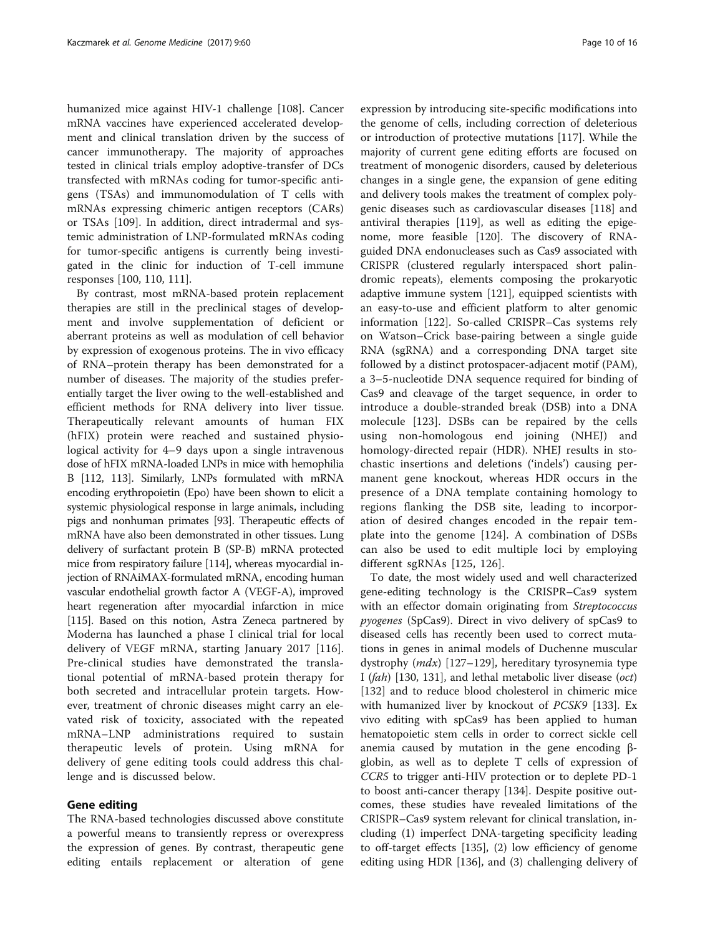humanized mice against HIV-1 challenge [\[108](#page-14-0)]. Cancer mRNA vaccines have experienced accelerated development and clinical translation driven by the success of cancer immunotherapy. The majority of approaches tested in clinical trials employ adoptive-transfer of DCs transfected with mRNAs coding for tumor-specific antigens (TSAs) and immunomodulation of T cells with mRNAs expressing chimeric antigen receptors (CARs) or TSAs [\[109](#page-14-0)]. In addition, direct intradermal and systemic administration of LNP-formulated mRNAs coding for tumor-specific antigens is currently being investigated in the clinic for induction of T-cell immune responses [\[100](#page-14-0), [110, 111\]](#page-14-0).

By contrast, most mRNA-based protein replacement therapies are still in the preclinical stages of development and involve supplementation of deficient or aberrant proteins as well as modulation of cell behavior by expression of exogenous proteins. The in vivo efficacy of RNA–protein therapy has been demonstrated for a number of diseases. The majority of the studies preferentially target the liver owing to the well-established and efficient methods for RNA delivery into liver tissue. Therapeutically relevant amounts of human FIX (hFIX) protein were reached and sustained physiological activity for 4–9 days upon a single intravenous dose of hFIX mRNA-loaded LNPs in mice with hemophilia B [\[112, 113](#page-14-0)]. Similarly, LNPs formulated with mRNA encoding erythropoietin (Epo) have been shown to elicit a systemic physiological response in large animals, including pigs and nonhuman primates [[93\]](#page-13-0). Therapeutic effects of mRNA have also been demonstrated in other tissues. Lung delivery of surfactant protein B (SP-B) mRNA protected mice from respiratory failure [\[114\]](#page-14-0), whereas myocardial injection of RNAiMAX-formulated mRNA, encoding human vascular endothelial growth factor A (VEGF-A), improved heart regeneration after myocardial infarction in mice [[115\]](#page-14-0). Based on this notion, Astra Zeneca partnered by Moderna has launched a phase I clinical trial for local delivery of VEGF mRNA, starting January 2017 [\[116](#page-14-0)]. Pre-clinical studies have demonstrated the translational potential of mRNA-based protein therapy for both secreted and intracellular protein targets. However, treatment of chronic diseases might carry an elevated risk of toxicity, associated with the repeated mRNA–LNP administrations required to sustain therapeutic levels of protein. Using mRNA for delivery of gene editing tools could address this challenge and is discussed below.

# Gene editing

The RNA-based technologies discussed above constitute a powerful means to transiently repress or overexpress the expression of genes. By contrast, therapeutic gene editing entails replacement or alteration of gene

expression by introducing site-specific modifications into the genome of cells, including correction of deleterious or introduction of protective mutations [\[117\]](#page-14-0). While the majority of current gene editing efforts are focused on treatment of monogenic disorders, caused by deleterious changes in a single gene, the expansion of gene editing and delivery tools makes the treatment of complex polygenic diseases such as cardiovascular diseases [[118\]](#page-14-0) and antiviral therapies [[119](#page-14-0)], as well as editing the epigenome, more feasible [\[120\]](#page-14-0). The discovery of RNAguided DNA endonucleases such as Cas9 associated with CRISPR (clustered regularly interspaced short palindromic repeats), elements composing the prokaryotic adaptive immune system [[121](#page-14-0)], equipped scientists with an easy-to-use and efficient platform to alter genomic information [\[122](#page-14-0)]. So-called CRISPR–Cas systems rely on Watson–Crick base-pairing between a single guide RNA (sgRNA) and a corresponding DNA target site followed by a distinct protospacer-adjacent motif (PAM), a 3–5-nucleotide DNA sequence required for binding of Cas9 and cleavage of the target sequence, in order to introduce a double-stranded break (DSB) into a DNA molecule [[123](#page-14-0)]. DSBs can be repaired by the cells using non-homologous end joining (NHEJ) and homology-directed repair (HDR). NHEJ results in stochastic insertions and deletions ('indels') causing permanent gene knockout, whereas HDR occurs in the presence of a DNA template containing homology to regions flanking the DSB site, leading to incorporation of desired changes encoded in the repair template into the genome [[124\]](#page-14-0). A combination of DSBs can also be used to edit multiple loci by employing different sgRNAs [[125, 126\]](#page-14-0).

To date, the most widely used and well characterized gene-editing technology is the CRISPR–Cas9 system with an effector domain originating from Streptococcus pyogenes (SpCas9). Direct in vivo delivery of spCas9 to diseased cells has recently been used to correct mutations in genes in animal models of Duchenne muscular dystrophy  $(mdx)$  [[127](#page-14-0)–[129](#page-14-0)], hereditary tyrosynemia type I (fah) [\[130, 131\]](#page-14-0), and lethal metabolic liver disease (oct) [[132\]](#page-14-0) and to reduce blood cholesterol in chimeric mice with humanized liver by knockout of PCSK9 [[133\]](#page-14-0). Ex vivo editing with spCas9 has been applied to human hematopoietic stem cells in order to correct sickle cell anemia caused by mutation in the gene encoding βglobin, as well as to deplete T cells of expression of CCR5 to trigger anti-HIV protection or to deplete PD-1 to boost anti-cancer therapy [[134\]](#page-14-0). Despite positive outcomes, these studies have revealed limitations of the CRISPR–Cas9 system relevant for clinical translation, including (1) imperfect DNA-targeting specificity leading to off-target effects [[135\]](#page-14-0), (2) low efficiency of genome editing using HDR [[136\]](#page-14-0), and (3) challenging delivery of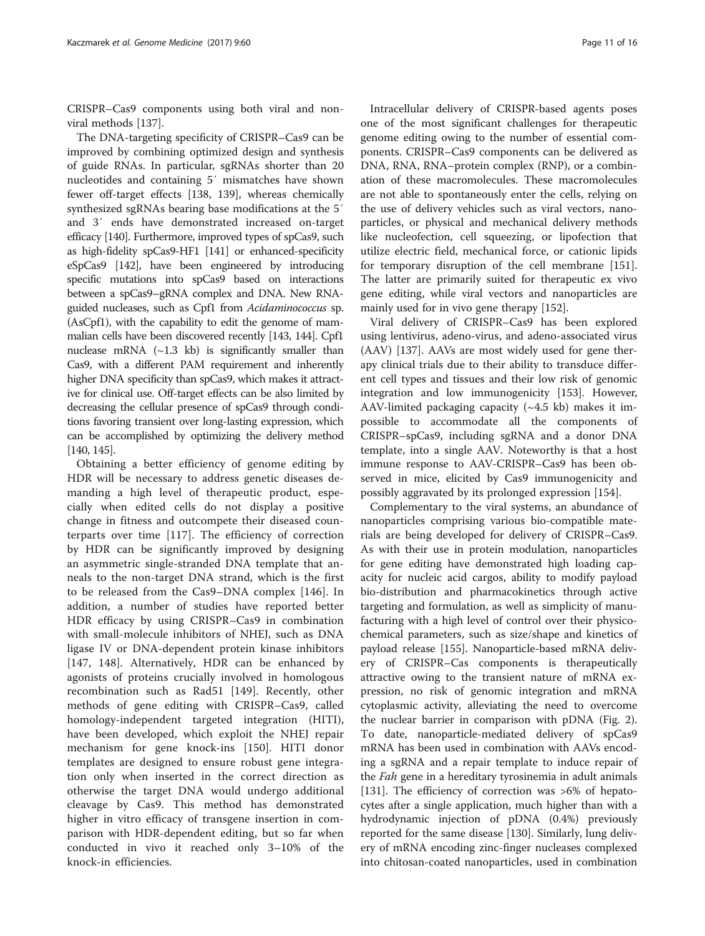CRISPR–Cas9 components using both viral and nonviral methods [[137](#page-14-0)].

The DNA-targeting specificity of CRISPR–Cas9 can be improved by combining optimized design and synthesis of guide RNAs. In particular, sgRNAs shorter than 20 nucleotides and containing 5′ mismatches have shown fewer off-target effects [[138, 139\]](#page-14-0), whereas chemically synthesized sgRNAs bearing base modifications at the 5′ and 3′ ends have demonstrated increased on-target efficacy [\[140](#page-14-0)]. Furthermore, improved types of spCas9, such as high-fidelity spCas9-HF1 [\[141](#page-14-0)] or enhanced-specificity eSpCas9 [\[142](#page-14-0)], have been engineered by introducing specific mutations into spCas9 based on interactions between a spCas9–gRNA complex and DNA. New RNAguided nucleases, such as Cpf1 from Acidaminococcus sp. (AsCpf1), with the capability to edit the genome of mammalian cells have been discovered recently [\[143](#page-14-0), [144](#page-14-0)]. Cpf1 nuclease mRNA  $(-1.3 \text{ kb})$  is significantly smaller than Cas9, with a different PAM requirement and inherently higher DNA specificity than spCas9, which makes it attractive for clinical use. Off-target effects can be also limited by decreasing the cellular presence of spCas9 through conditions favoring transient over long-lasting expression, which can be accomplished by optimizing the delivery method [[140, 145\]](#page-14-0).

Obtaining a better efficiency of genome editing by HDR will be necessary to address genetic diseases demanding a high level of therapeutic product, especially when edited cells do not display a positive change in fitness and outcompete their diseased counterparts over time [[117\]](#page-14-0). The efficiency of correction by HDR can be significantly improved by designing an asymmetric single-stranded DNA template that anneals to the non-target DNA strand, which is the first to be released from the Cas9–DNA complex [\[146](#page-14-0)]. In addition, a number of studies have reported better HDR efficacy by using CRISPR–Cas9 in combination with small-molecule inhibitors of NHEJ, such as DNA ligase IV or DNA-dependent protein kinase inhibitors [[147, 148](#page-14-0)]. Alternatively, HDR can be enhanced by agonists of proteins crucially involved in homologous recombination such as Rad51 [\[149](#page-14-0)]. Recently, other methods of gene editing with CRISPR–Cas9, called homology-independent targeted integration (HITI), have been developed, which exploit the NHEJ repair mechanism for gene knock-ins [\[150](#page-15-0)]. HITI donor templates are designed to ensure robust gene integration only when inserted in the correct direction as otherwise the target DNA would undergo additional cleavage by Cas9. This method has demonstrated higher in vitro efficacy of transgene insertion in comparison with HDR-dependent editing, but so far when conducted in vivo it reached only 3–10% of the knock-in efficiencies.

Intracellular delivery of CRISPR-based agents poses one of the most significant challenges for therapeutic genome editing owing to the number of essential components. CRISPR–Cas9 components can be delivered as DNA, RNA, RNA–protein complex (RNP), or a combination of these macromolecules. These macromolecules are not able to spontaneously enter the cells, relying on the use of delivery vehicles such as viral vectors, nanoparticles, or physical and mechanical delivery methods like nucleofection, cell squeezing, or lipofection that utilize electric field, mechanical force, or cationic lipids for temporary disruption of the cell membrane [[151](#page-15-0)]. The latter are primarily suited for therapeutic ex vivo gene editing, while viral vectors and nanoparticles are mainly used for in vivo gene therapy [[152](#page-15-0)].

Viral delivery of CRISPR–Cas9 has been explored using lentivirus, adeno-virus, and adeno-associated virus (AAV) [\[137\]](#page-14-0). AAVs are most widely used for gene therapy clinical trials due to their ability to transduce different cell types and tissues and their low risk of genomic integration and low immunogenicity [\[153\]](#page-15-0). However, AAV-limited packaging capacity  $(\sim 4.5 \text{ kb})$  makes it impossible to accommodate all the components of CRISPR–spCas9, including sgRNA and a donor DNA template, into a single AAV. Noteworthy is that a host immune response to AAV-CRISPR–Cas9 has been observed in mice, elicited by Cas9 immunogenicity and possibly aggravated by its prolonged expression [\[154\]](#page-15-0).

Complementary to the viral systems, an abundance of nanoparticles comprising various bio-compatible materials are being developed for delivery of CRISPR–Cas9. As with their use in protein modulation, nanoparticles for gene editing have demonstrated high loading capacity for nucleic acid cargos, ability to modify payload bio-distribution and pharmacokinetics through active targeting and formulation, as well as simplicity of manufacturing with a high level of control over their physicochemical parameters, such as size/shape and kinetics of payload release [\[155\]](#page-15-0). Nanoparticle-based mRNA delivery of CRISPR–Cas components is therapeutically attractive owing to the transient nature of mRNA expression, no risk of genomic integration and mRNA cytoplasmic activity, alleviating the need to overcome the nuclear barrier in comparison with pDNA (Fig. [2](#page-7-0)). To date, nanoparticle-mediated delivery of spCas9 mRNA has been used in combination with AAVs encoding a sgRNA and a repair template to induce repair of the *Fah* gene in a hereditary tyrosinemia in adult animals [[131\]](#page-14-0). The efficiency of correction was >6% of hepatocytes after a single application, much higher than with a hydrodynamic injection of pDNA (0.4%) previously reported for the same disease [\[130\]](#page-14-0). Similarly, lung delivery of mRNA encoding zinc-finger nucleases complexed into chitosan-coated nanoparticles, used in combination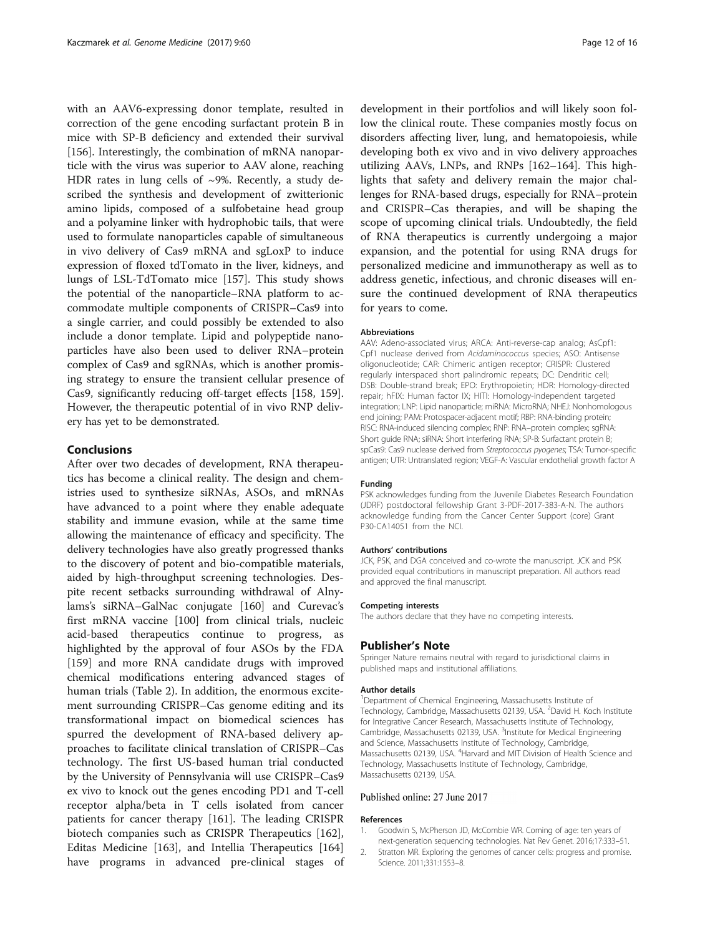<span id="page-11-0"></span>with an AAV6-expressing donor template, resulted in correction of the gene encoding surfactant protein B in mice with SP-B deficiency and extended their survival [[156\]](#page-15-0). Interestingly, the combination of mRNA nanoparticle with the virus was superior to AAV alone, reaching HDR rates in lung cells of  $\sim$ 9%. Recently, a study described the synthesis and development of zwitterionic amino lipids, composed of a sulfobetaine head group and a polyamine linker with hydrophobic tails, that were used to formulate nanoparticles capable of simultaneous in vivo delivery of Cas9 mRNA and sgLoxP to induce expression of floxed tdTomato in the liver, kidneys, and lungs of LSL-TdTomato mice [[157](#page-15-0)]. This study shows the potential of the nanoparticle–RNA platform to accommodate multiple components of CRISPR–Cas9 into a single carrier, and could possibly be extended to also include a donor template. Lipid and polypeptide nanoparticles have also been used to deliver RNA–protein complex of Cas9 and sgRNAs, which is another promising strategy to ensure the transient cellular presence of Cas9, significantly reducing off-target effects [[158](#page-15-0), [159](#page-15-0)]. However, the therapeutic potential of in vivo RNP delivery has yet to be demonstrated.

# Conclusions

After over two decades of development, RNA therapeutics has become a clinical reality. The design and chemistries used to synthesize siRNAs, ASOs, and mRNAs have advanced to a point where they enable adequate stability and immune evasion, while at the same time allowing the maintenance of efficacy and specificity. The delivery technologies have also greatly progressed thanks to the discovery of potent and bio-compatible materials, aided by high-throughput screening technologies. Despite recent setbacks surrounding withdrawal of Alnylams's siRNA–GalNac conjugate [[160\]](#page-15-0) and Curevac's first mRNA vaccine [[100](#page-14-0)] from clinical trials, nucleic acid-based therapeutics continue to progress, as highlighted by the approval of four ASOs by the FDA [[159\]](#page-15-0) and more RNA candidate drugs with improved chemical modifications entering advanced stages of human trials (Table [2\)](#page-3-0). In addition, the enormous excitement surrounding CRISPR–Cas genome editing and its transformational impact on biomedical sciences has spurred the development of RNA-based delivery approaches to facilitate clinical translation of CRISPR–Cas technology. The first US-based human trial conducted by the University of Pennsylvania will use CRISPR–Cas9 ex vivo to knock out the genes encoding PD1 and T-cell receptor alpha/beta in T cells isolated from cancer patients for cancer therapy [\[161\]](#page-15-0). The leading CRISPR biotech companies such as CRISPR Therapeutics [\[162](#page-15-0)], Editas Medicine [[163\]](#page-15-0), and Intellia Therapeutics [[164](#page-15-0)] have programs in advanced pre-clinical stages of

development in their portfolios and will likely soon follow the clinical route. These companies mostly focus on disorders affecting liver, lung, and hematopoiesis, while developing both ex vivo and in vivo delivery approaches utilizing AAVs, LNPs, and RNPs [[162](#page-15-0)–[164](#page-15-0)]. This highlights that safety and delivery remain the major challenges for RNA-based drugs, especially for RNA–protein and CRISPR–Cas therapies, and will be shaping the scope of upcoming clinical trials. Undoubtedly, the field of RNA therapeutics is currently undergoing a major expansion, and the potential for using RNA drugs for personalized medicine and immunotherapy as well as to address genetic, infectious, and chronic diseases will ensure the continued development of RNA therapeutics for years to come.

#### Abbreviations

AAV: Adeno-associated virus; ARCA: Anti-reverse-cap analog; AsCpf1: Cpf1 nuclease derived from Acidaminococcus species; ASO: Antisense oligonucleotide; CAR: Chimeric antigen receptor; CRISPR: Clustered regularly interspaced short palindromic repeats; DC: Dendritic cell; DSB: Double-strand break; EPO: Erythropoietin; HDR: Homology-directed repair; hFIX: Human factor IX; HITI: Homology-independent targeted integration; LNP: Lipid nanoparticle; miRNA: MicroRNA; NHEJ: Nonhomologous end joining; PAM: Protospacer-adjacent motif; RBP: RNA-binding protein; RISC: RNA-induced silencing complex; RNP: RNA–protein complex; sgRNA: Short guide RNA; siRNA: Short interfering RNA; SP-B: Surfactant protein B; spCas9: Cas9 nuclease derived from Streptococcus pyogenes; TSA: Tumor-specific antigen; UTR: Untranslated region; VEGF-A: Vascular endothelial growth factor A

#### Funding

PSK acknowledges funding from the Juvenile Diabetes Research Foundation (JDRF) postdoctoral fellowship Grant 3-PDF-2017-383-A-N. The authors acknowledge funding from the Cancer Center Support (core) Grant P30-CA14051 from the NCI.

#### Authors' contributions

JCK, PSK, and DGA conceived and co-wrote the manuscript. JCK and PSK provided equal contributions in manuscript preparation. All authors read and approved the final manuscript.

# Competing interests

The authors declare that they have no competing interests.

## Publisher's Note

Springer Nature remains neutral with regard to jurisdictional claims in published maps and institutional affiliations.

#### Author details

<sup>1</sup>Department of Chemical Engineering, Massachusetts Institute of Technology, Cambridge, Massachusetts 02139, USA. <sup>2</sup>David H. Koch Institute for Integrative Cancer Research, Massachusetts Institute of Technology, Cambridge, Massachusetts 02139, USA. <sup>3</sup>Institute for Medical Engineering and Science, Massachusetts Institute of Technology, Cambridge, Massachusetts 02139, USA. <sup>4</sup> Harvard and MIT Division of Health Science and Technology, Massachusetts Institute of Technology, Cambridge, Massachusetts 02139, USA.

#### Published online: 27 June 2017

# References

- 1. Goodwin S, McPherson JD, McCombie WR. Coming of age: ten years of next-generation sequencing technologies. Nat Rev Genet. 2016;17:333–51.
- 2. Stratton MR. Exploring the genomes of cancer cells: progress and promise. Science. 2011;331:1553–8.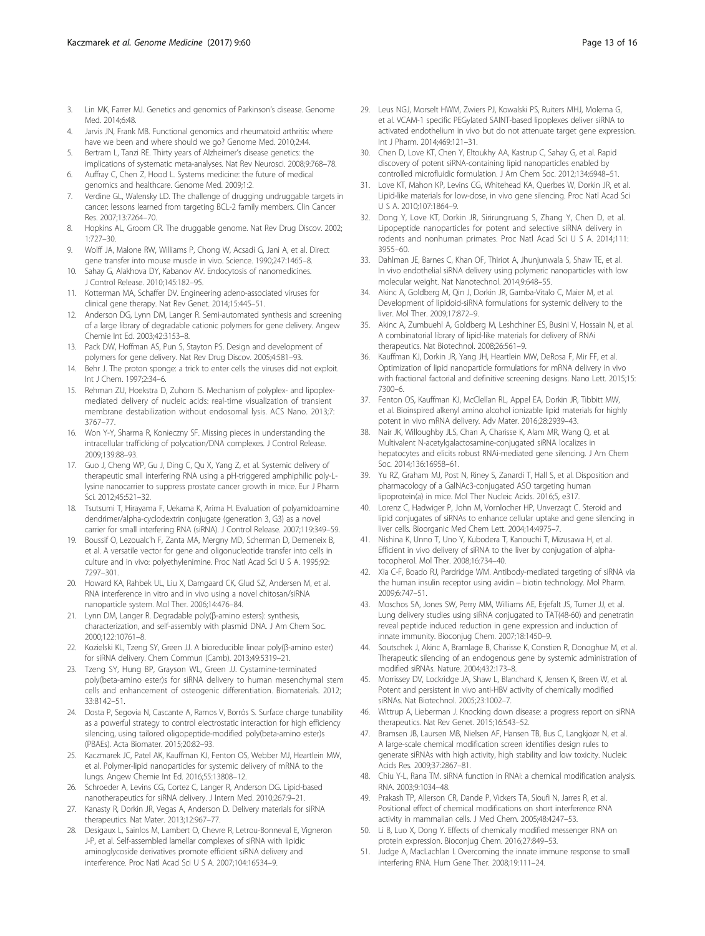- <span id="page-12-0"></span>3. Lin MK, Farrer MJ. Genetics and genomics of Parkinson's disease. Genome Med. 2014;6:48.
- 4. Jarvis JN, Frank MB. Functional genomics and rheumatoid arthritis: where have we been and where should we go? Genome Med. 2010;2:44.
- 5. Bertram L, Tanzi RE. Thirty years of Alzheimer's disease genetics: the implications of systematic meta-analyses. Nat Rev Neurosci. 2008;9:768–78.
- 6. Auffray C, Chen Z, Hood L. Systems medicine: the future of medical genomics and healthcare. Genome Med. 2009;1:2.
- 7. Verdine GL, Walensky LD. The challenge of drugging undruggable targets in cancer: lessons learned from targeting BCL-2 family members. Clin Cancer Res. 2007;13:7264–70.
- 8. Hopkins AL, Groom CR. The druggable genome. Nat Rev Drug Discov. 2002; 1:727–30.
- 9. Wolff JA, Malone RW, Williams P, Chong W, Acsadi G, Jani A, et al. Direct gene transfer into mouse muscle in vivo. Science. 1990;247:1465–8.
- 10. Sahay G, Alakhova DY, Kabanov AV. Endocytosis of nanomedicines. J Control Release. 2010;145:182–95.
- 11. Kotterman MA, Schaffer DV. Engineering adeno-associated viruses for clinical gene therapy. Nat Rev Genet. 2014;15:445–51.
- 12. Anderson DG, Lynn DM, Langer R. Semi-automated synthesis and screening of a large library of degradable cationic polymers for gene delivery. Angew Chemie Int Ed. 2003;42:3153–8.
- 13. Pack DW, Hoffman AS, Pun S, Stayton PS. Design and development of polymers for gene delivery. Nat Rev Drug Discov. 2005;4:581–93.
- 14. Behr J. The proton sponge: a trick to enter cells the viruses did not exploit. Int J Chem. 1997;2:34–6.
- 15. Rehman ZU, Hoekstra D, Zuhorn IS. Mechanism of polyplex- and lipoplexmediated delivery of nucleic acids: real-time visualization of transient membrane destabilization without endosomal lysis. ACS Nano. 2013;7: 3767–77.
- 16. Won Y-Y, Sharma R, Konieczny SF. Missing pieces in understanding the intracellular trafficking of polycation/DNA complexes. J Control Release. 2009;139:88–93.
- 17. Guo J, Cheng WP, Gu J, Ding C, Qu X, Yang Z, et al. Systemic delivery of therapeutic small interfering RNA using a pH-triggered amphiphilic poly-Llysine nanocarrier to suppress prostate cancer growth in mice. Eur J Pharm Sci. 2012;45:521–32.
- 18. Tsutsumi T, Hirayama F, Uekama K, Arima H. Evaluation of polyamidoamine dendrimer/alpha-cyclodextrin conjugate (generation 3, G3) as a novel carrier for small interfering RNA (siRNA). J Control Release. 2007;119:349–59.
- 19. Boussif O, Lezoualc'h F, Zanta MA, Mergny MD, Scherman D, Demeneix B, et al. A versatile vector for gene and oligonucleotide transfer into cells in culture and in vivo: polyethylenimine. Proc Natl Acad Sci U S A. 1995;92: 7297–301.
- 20. Howard KA, Rahbek UL, Liu X, Damgaard CK, Glud SZ, Andersen M, et al. RNA interference in vitro and in vivo using a novel chitosan/siRNA nanoparticle system. Mol Ther. 2006;14:476–84.
- 21. Lynn DM, Langer R. Degradable poly(β-amino esters): synthesis, characterization, and self-assembly with plasmid DNA. J Am Chem Soc. 2000;122:10761–8.
- 22. Kozielski KL, Tzeng SY, Green JJ. A bioreducible linear poly(β-amino ester) for siRNA delivery. Chem Commun (Camb). 2013;49:5319–21.
- 23. Tzeng SY, Hung BP, Grayson WL, Green JJ. Cystamine-terminated poly(beta-amino ester)s for siRNA delivery to human mesenchymal stem cells and enhancement of osteogenic differentiation. Biomaterials. 2012; 33:8142–51.
- 24. Dosta P, Segovia N, Cascante A, Ramos V, Borrós S. Surface charge tunability as a powerful strategy to control electrostatic interaction for high efficiency silencing, using tailored oligopeptide-modified poly(beta-amino ester)s (PBAEs). Acta Biomater. 2015;20:82–93.
- 25. Kaczmarek JC, Patel AK, Kauffman KJ, Fenton OS, Webber MJ, Heartlein MW, et al. Polymer-lipid nanoparticles for systemic delivery of mRNA to the lungs. Angew Chemie Int Ed. 2016;55:13808–12.
- 26. Schroeder A, Levins CG, Cortez C, Langer R, Anderson DG. Lipid-based nanotherapeutics for siRNA delivery. J Intern Med. 2010;267:9–21.
- 27. Kanasty R, Dorkin JR, Vegas A, Anderson D. Delivery materials for siRNA therapeutics. Nat Mater. 2013;12:967–77.
- 28. Desigaux L, Sainlos M, Lambert O, Chevre R, Letrou-Bonneval E, Vigneron J-P, et al. Self-assembled lamellar complexes of siRNA with lipidic aminoglycoside derivatives promote efficient siRNA delivery and interference. Proc Natl Acad Sci U S A. 2007;104:16534–9.
- 29. Leus NGJ, Morselt HWM, Zwiers PJ, Kowalski PS, Ruiters MHJ, Molema G, et al. VCAM-1 specific PEGylated SAINT-based lipoplexes deliver siRNA to activated endothelium in vivo but do not attenuate target gene expression. Int J Pharm. 2014;469:121–31.
- 30. Chen D, Love KT, Chen Y, Eltoukhy AA, Kastrup C, Sahay G, et al. Rapid discovery of potent siRNA-containing lipid nanoparticles enabled by controlled microfluidic formulation. J Am Chem Soc. 2012;134:6948–51.
- 31. Love KT, Mahon KP, Levins CG, Whitehead KA, Querbes W, Dorkin JR, et al. Lipid-like materials for low-dose, in vivo gene silencing. Proc Natl Acad Sci U S A. 2010;107:1864–9.
- 32. Dong Y, Love KT, Dorkin JR, Sirirungruang S, Zhang Y, Chen D, et al. Lipopeptide nanoparticles for potent and selective siRNA delivery in rodents and nonhuman primates. Proc Natl Acad Sci U S A. 2014;111: 3955–60.
- 33. Dahlman JE, Barnes C, Khan OF, Thiriot A, Jhunjunwala S, Shaw TE, et al. In vivo endothelial siRNA delivery using polymeric nanoparticles with low molecular weight. Nat Nanotechnol. 2014;9:648–55.
- 34. Akinc A, Goldberg M, Qin J, Dorkin JR, Gamba-Vitalo C, Maier M, et al. Development of lipidoid-siRNA formulations for systemic delivery to the liver. Mol Ther. 2009;17:872–9.
- 35. Akinc A, Zumbuehl A, Goldberg M, Leshchiner ES, Busini V, Hossain N, et al. A combinatorial library of lipid-like materials for delivery of RNAi therapeutics. Nat Biotechnol. 2008;26:561–9.
- 36. Kauffman KJ, Dorkin JR, Yang JH, Heartlein MW, DeRosa F, Mir FF, et al. Optimization of lipid nanoparticle formulations for mRNA delivery in vivo with fractional factorial and definitive screening designs. Nano Lett. 2015;15: 7300–6.
- 37. Fenton OS, Kauffman KJ, McClellan RL, Appel EA, Dorkin JR, Tibbitt MW, et al. Bioinspired alkenyl amino alcohol ionizable lipid materials for highly potent in vivo mRNA delivery. Adv Mater. 2016;28:2939–43.
- 38. Nair JK, Willoughby JLS, Chan A, Charisse K, Alam MR, Wang Q, et al. Multivalent N-acetylgalactosamine-conjugated siRNA localizes in hepatocytes and elicits robust RNAi-mediated gene silencing. J Am Chem Soc. 2014;136:16958–61.
- 39. Yu RZ, Graham MJ, Post N, Riney S, Zanardi T, Hall S, et al. Disposition and pharmacology of a GalNAc3-conjugated ASO targeting human lipoprotein(a) in mice. Mol Ther Nucleic Acids. 2016;5, e317.
- 40. Lorenz C, Hadwiger P, John M, Vornlocher HP, Unverzagt C. Steroid and lipid conjugates of siRNAs to enhance cellular uptake and gene silencing in liver cells. Bioorganic Med Chem Lett. 2004;14:4975–7.
- 41. Nishina K, Unno T, Uno Y, Kubodera T, Kanouchi T, Mizusawa H, et al. Efficient in vivo delivery of siRNA to the liver by conjugation of alphatocopherol. Mol Ther. 2008;16:734–40.
- 42. Xia C-F, Boado RJ, Pardridge WM. Antibody-mediated targeting of siRNA via the human insulin receptor using avidin − biotin technology. Mol Pharm. 2009;6:747–51.
- 43. Moschos SA, Jones SW, Perry MM, Williams AE, Erjefalt JS, Turner JJ, et al. Lung delivery studies using siRNA conjugated to TAT(48-60) and penetratin reveal peptide induced reduction in gene expression and induction of innate immunity. Bioconjug Chem. 2007;18:1450–9.
- 44. Soutschek J, Akinc A, Bramlage B, Charisse K, Constien R, Donoghue M, et al. Therapeutic silencing of an endogenous gene by systemic administration of modified siRNAs. Nature. 2004;432:173–8.
- 45. Morrissey DV, Lockridge JA, Shaw L, Blanchard K, Jensen K, Breen W, et al. Potent and persistent in vivo anti-HBV activity of chemically modified siRNAs. Nat Biotechnol. 2005;23:1002–7.
- 46. Wittrup A, Lieberman J. Knocking down disease: a progress report on siRNA therapeutics. Nat Rev Genet. 2015;16:543–52.
- 47. Bramsen JB, Laursen MB, Nielsen AF, Hansen TB, Bus C, Langkjoør N, et al. A large-scale chemical modification screen identifies design rules to generate siRNAs with high activity, high stability and low toxicity. Nucleic Acids Res. 2009;37:2867–81.
- 48. Chiu Y-L, Rana TM. siRNA function in RNAi: a chemical modification analysis. RNA. 2003;9:1034–48.
- 49. Prakash TP, Allerson CR, Dande P, Vickers TA, Sioufi N, Jarres R, et al. Positional effect of chemical modifications on short interference RNA activity in mammalian cells. J Med Chem. 2005;48:4247–53.
- 50. Li B, Luo X, Dong Y. Effects of chemically modified messenger RNA on protein expression. Bioconjug Chem. 2016;27:849–53.
- 51. Judge A, MacLachlan I. Overcoming the innate immune response to small interfering RNA. Hum Gene Ther. 2008;19:111–24.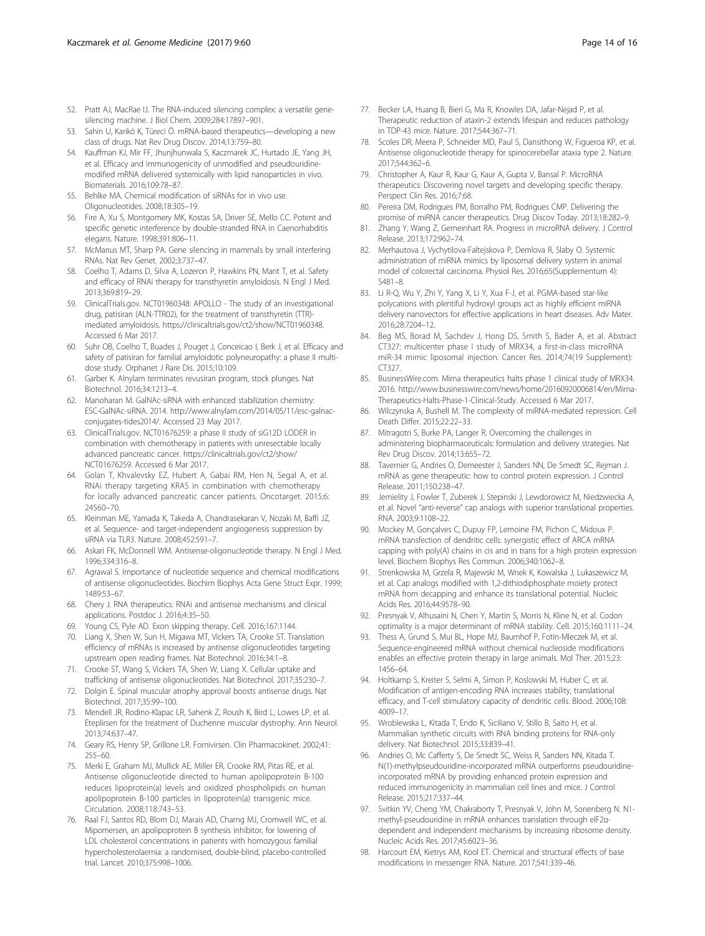- <span id="page-13-0"></span>52. Pratt AJ, MacRae IJ. The RNA-induced silencing complex: a versatile genesilencing machine. J Biol Chem. 2009;284:17897–901.
- 53. Sahin U, Karikó K, Türeci Ö. mRNA-based therapeutics—developing a new class of drugs. Nat Rev Drug Discov. 2014;13:759–80.
- 54. Kauffman KJ, Mir FF, Jhunjhunwala S, Kaczmarek JC, Hurtado JE, Yang JH, et al. Efficacy and immunogenicity of unmodified and pseudouridinemodified mRNA delivered systemically with lipid nanoparticles in vivo. Biomaterials. 2016;109:78–87.
- 55. Behlke MA. Chemical modification of siRNAs for in vivo use. Oligonucleotides. 2008;18:305–19.
- 56. Fire A, Xu S, Montgomery MK, Kostas SA, Driver SE, Mello CC. Potent and specific genetic interference by double-stranded RNA in Caenorhabditis elegans. Nature. 1998;391:806–11.
- 57. McManus MT, Sharp PA. Gene silencing in mammals by small interfering RNAs. Nat Rev Genet. 2002;3:737–47.
- 58. Coelho T, Adams D, Silva A, Lozeron P, Hawkins PN, Mant T, et al. Safety and efficacy of RNAi therapy for transthyretin amyloidosis. N Engl J Med. 2013;369:819–29.
- 59. ClinicalTrials.gov. NCT01960348: APOLLO The study of an investigational drug, patisiran (ALN-TTR02), for the treatment of transthyretin (TTR) mediated amyloidosis. [https://clinicaltrials.gov/ct2/show/NCT01960348.](https://clinicaltrials.gov/ct2/show/NCT01960348) Accessed 6 Mar 2017.
- 60. Suhr OB, Coelho T, Buades J, Pouget J, Conceicao I, Berk J, et al. Efficacy and safety of patisiran for familial amyloidotic polyneuropathy: a phase II multidose study. Orphanet J Rare Dis. 2015;10:109.
- 61. Garber K. Alnylam terminates revusiran program, stock plunges. Nat Biotechnol. 2016;34:1213–4.
- 62. Manoharan M. GalNAc-siRNA with enhanced stabilization chemistry: ESC-GalNAc-siRNA. 2014. [http://www.alnylam.com/2014/05/11/esc-galnac](http://www.alnylam.com/2014/05/11/esc-galnac-conjugates-tides2014/)[conjugates-tides2014/](http://www.alnylam.com/2014/05/11/esc-galnac-conjugates-tides2014/). Accessed 23 May 2017.
- 63. ClinicalTrials.gov. NCT01676259: a phase II study of siG12D LODER in combination with chemotherapy in patients with unresectable locally advanced pancreatic cancer. [https://clinicaltrials.gov/ct2/show/](https://clinicaltrials.gov/ct2/show/NCT01676259) [NCT01676259.](https://clinicaltrials.gov/ct2/show/NCT01676259) Accessed 6 Mar 2017.
- 64. Golan T, Khvalevsky EZ, Hubert A, Gabai RM, Hen N, Segal A, et al. RNAi therapy targeting KRAS in combination with chemotherapy for locally advanced pancreatic cancer patients. Oncotarget. 2015;6: 24560–70.
- 65. Kleinman ME, Yamada K, Takeda A, Chandrasekaran V, Nozaki M, Baffi JZ, et al. Sequence- and target-independent angiogenesis suppression by siRNA via TLR3. Nature. 2008;452:591–7.
- 66. Askari FK, McDonnell WM. Antisense-oligonucleotide therapy. N Engl J Med. 1996;334:316–8.
- 67. Agrawal S. Importance of nucleotide sequence and chemical modifications of antisense oligonucleotides. Biochim Biophys Acta Gene Struct Expr. 1999; 1489:53–67.
- 68. Chery J. RNA therapeutics: RNAi and antisense mechanisms and clinical applications. Postdoc J. 2016;4:35–50.
- 69. Young CS, Pyle AD. Exon skipping therapy. Cell. 2016;167:1144.
- 70. Liang X, Shen W, Sun H, Migawa MT, Vickers TA, Crooke ST. Translation efficiency of mRNAs is increased by antisense oligonucleotides targeting upstream open reading frames. Nat Biotechnol. 2016;34:1–8.
- 71. Crooke ST, Wang S, Vickers TA, Shen W, Liang X. Cellular uptake and trafficking of antisense oligonucleotides. Nat Biotechnol. 2017;35:230–7.
- 72. Dolgin E. Spinal muscular atrophy approval boosts antisense drugs. Nat Biotechnol. 2017;35:99–100.
- 73. Mendell JR, Rodino-Klapac LR, Sahenk Z, Roush K, Bird L, Lowes LP, et al. Eteplirsen for the treatment of Duchenne muscular dystrophy. Ann Neurol. 2013;74:637–47.
- 74. Geary RS, Henry SP, Grillone LR. Fomivirsen. Clin Pharmacokinet. 2002;41: 255–60.
- 75. Merki E, Graham MJ, Mullick AE, Miller ER, Crooke RM, Pitas RE, et al. Antisense oligonucleotide directed to human apolipoprotein B-100 reduces lipoprotein(a) levels and oxidized phospholipids on human apolipoprotein B-100 particles in lipoprotein(a) transgenic mice. Circulation. 2008;118:743–53.
- 76. Raal FJ, Santos RD, Blom DJ, Marais AD, Charng MJ, Cromwell WC, et al. Mipomersen, an apolipoprotein B synthesis inhibitor, for lowering of LDL cholesterol concentrations in patients with homozygous familial hypercholesterolaemia: a randomised, double-blind, placebo-controlled trial. Lancet. 2010;375:998–1006.
- 77. Becker LA, Huang B, Bieri G, Ma R, Knowles DA, Jafar-Nejad P, et al. Therapeutic reduction of ataxin-2 extends lifespan and reduces pathology in TDP-43 mice. Nature. 2017;544:367–71.
- 78. Scoles DR, Meera P, Schneider MD, Paul S, Dansithong W, Figueroa KP, et al. Antisense oligonucleotide therapy for spinocerebellar ataxia type 2. Nature. 2017;544:362–6.
- 79. Christopher A, Kaur R, Kaur G, Kaur A, Gupta V, Bansal P. MicroRNA therapeutics: Discovering novel targets and developing specific therapy. Perspect Clin Res. 2016;7:68.
- 80. Pereira DM, Rodrigues PM, Borralho PM, Rodrigues CMP. Delivering the promise of miRNA cancer therapeutics. Drug Discov Today. 2013;18:282–9.
- 81. Zhang Y, Wang Z, Gemeinhart RA. Progress in microRNA delivery. J Control Release. 2013;172:962–74.
- 82. Merhautova J, Vychytilova-Faltejskova P, Demlova R, Slaby O. Systemic administration of miRNA mimics by liposomal delivery system in animal model of colorectal carcinoma. Physiol Res. 2016;65(Supplementum 4): S481–8.
- 83. Li R-Q, Wu Y, Zhi Y, Yang X, Li Y, Xua F-J, et al. PGMA-based star-like polycations with plentiful hydroxyl groups act as highly efficient miRNA delivery nanovectors for effective applications in heart diseases. Adv Mater. 2016;28:7204–12.
- 84. Beg MS, Borad M, Sachdev J, Hong DS, Smith S, Bader A, et al. Abstract CT327: multicenter phase I study of MRX34, a first-in-class microRNA miR-34 mimic liposomal injection. Cancer Res. 2014;74(19 Supplement): CT327.
- 85. BusinessWire.com. Mirna therapeutics halts phase 1 clinical study of MRX34. 2016. [http://www.businesswire.com/news/home/20160920006814/en/Mirna-](http://www.businesswire.com/news/home/20160920006814/en/Mirna-Therapeutics-Halts-Phase-1-Clinical-Study)[Therapeutics-Halts-Phase-1-Clinical-Study](http://www.businesswire.com/news/home/20160920006814/en/Mirna-Therapeutics-Halts-Phase-1-Clinical-Study). Accessed 6 Mar 2017.
- 86. Wilczynska A, Bushell M. The complexity of miRNA-mediated repression. Cell Death Differ. 2015;22:22–33.
- 87. Mitragotri S, Burke PA, Langer R. Overcoming the challenges in administering biopharmaceuticals: formulation and delivery strategies. Nat Rev Drug Discov. 2014;13:655–72.
- 88. Tavernier G, Andries O, Demeester J, Sanders NN, De Smedt SC, Rejman J. mRNA as gene therapeutic: how to control protein expression. J Control Release. 2011;150:238–47.
- 89. Jemielity J, Fowler T, Zuberek J, Stepinski J, Lewdorowicz M, Niedzwiecka A, et al. Novel "anti-reverse" cap analogs with superior translational properties. RNA. 2003;9:1108–22.
- 90. Mockey M, Gonçalves C, Dupuy FP, Lemoine FM, Pichon C, Midoux P. mRNA transfection of dendritic cells: synergistic effect of ARCA mRNA capping with poly(A) chains in cis and in trans for a high protein expression level. Biochem Biophys Res Commun. 2006;340:1062–8.
- 91. Strenkowska M, Grzela R, Majewski M, Wnek K, Kowalska J, Lukaszewicz M, et al. Cap analogs modified with 1,2-dithiodiphosphate moiety protect mRNA from decapping and enhance its translational potential. Nucleic Acids Res. 2016;44:9578–90.
- 92. Presnyak V, Alhusaini N, Chen Y, Martin S, Morris N, Kline N, et al. Codon optimality is a major determinant of mRNA stability. Cell. 2015;160:1111–24.
- 93. Thess A, Grund S, Mui BL, Hope MJ, Baumhof P, Fotin-Mleczek M, et al. Sequence-engineered mRNA without chemical nucleoside modifications enables an effective protein therapy in large animals. Mol Ther. 2015;23: 1456–64.
- 94. Holtkamp S, Kreiter S, Selmi A, Simon P, Koslowski M, Huber C, et al. Modification of antigen-encoding RNA increases stability, translational efficacy, and T-cell stimulatory capacity of dendritic cells. Blood. 2006;108: 4009–17.
- 95. Wroblewska L, Kitada T, Endo K, Siciliano V, Stillo B, Saito H, et al. Mammalian synthetic circuits with RNA binding proteins for RNA-only delivery. Nat Biotechnol. 2015;33:839–41.
- 96. Andries O, Mc Cafferty S, De Smedt SC, Weiss R, Sanders NN, Kitada T. N(1)-methylpseudouridine-incorporated mRNA outperforms pseudouridineincorporated mRNA by providing enhanced protein expression and reduced immunogenicity in mammalian cell lines and mice. J Control Release. 2015;217:337–44.
- 97. Svitkin YV, Cheng YM, Chakraborty T, Presnyak V, John M, Sonenberg N. N1 methyl-pseudouridine in mRNA enhances translation through eIF2αdependent and independent mechanisms by increasing ribosome density. Nucleic Acids Res. 2017;45:6023–36.
- 98. Harcourt EM, Kietrys AM, Kool ET. Chemical and structural effects of base modifications in messenger RNA. Nature. 2017;541:339–46.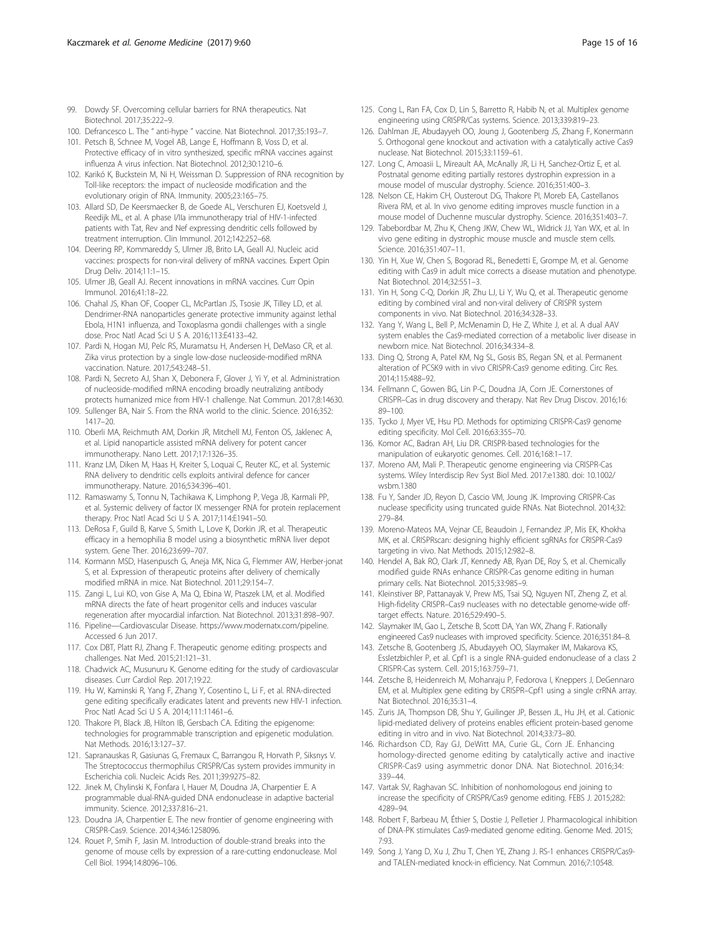- <span id="page-14-0"></span>99. Dowdy SF. Overcoming cellular barriers for RNA therapeutics. Nat Biotechnol. 2017;35:222–9.
- 100. Defrancesco L. The " anti-hype " vaccine. Nat Biotechnol. 2017;35:193–7.
- 101. Petsch B, Schnee M, Vogel AB, Lange E, Hoffmann B, Voss D, et al. Protective efficacy of in vitro synthesized, specific mRNA vaccines against influenza A virus infection. Nat Biotechnol. 2012;30:1210–6.
- 102. Karikó K, Buckstein M, Ni H, Weissman D. Suppression of RNA recognition by Toll-like receptors: the impact of nucleoside modification and the evolutionary origin of RNA. Immunity. 2005;23:165–75.
- 103. Allard SD, De Keersmaecker B, de Goede AL, Verschuren EJ, Koetsveld J, Reedijk ML, et al. A phase I/IIa immunotherapy trial of HIV-1-infected patients with Tat, Rev and Nef expressing dendritic cells followed by treatment interruption. Clin Immunol. 2012;142:252–68.
- 104. Deering RP, Kommareddy S, Ulmer JB, Brito LA, Geall AJ. Nucleic acid vaccines: prospects for non-viral delivery of mRNA vaccines. Expert Opin Drug Deliv. 2014;11:1–15.
- 105. Ulmer JB, Geall AJ. Recent innovations in mRNA vaccines. Curr Opin Immunol. 2016;41:18–22.
- 106. Chahal JS, Khan OF, Cooper CL, McPartlan JS, Tsosie JK, Tilley LD, et al. Dendrimer-RNA nanoparticles generate protective immunity against lethal Ebola, H1N1 influenza, and Toxoplasma gondii challenges with a single dose. Proc Natl Acad Sci U S A. 2016;113:E4133–42.
- 107. Pardi N, Hogan MJ, Pelc RS, Muramatsu H, Andersen H, DeMaso CR, et al. Zika virus protection by a single low-dose nucleoside-modified mRNA vaccination. Nature. 2017;543:248–51.
- 108. Pardi N, Secreto AJ, Shan X, Debonera F, Glover J, Yi Y, et al. Administration of nucleoside-modified mRNA encoding broadly neutralizing antibody protects humanized mice from HIV-1 challenge. Nat Commun. 2017;8:14630.
- 109. Sullenger BA, Nair S. From the RNA world to the clinic. Science. 2016;352: 1417–20.
- 110. Oberli MA, Reichmuth AM, Dorkin JR, Mitchell MJ, Fenton OS, Jaklenec A, et al. Lipid nanoparticle assisted mRNA delivery for potent cancer immunotherapy. Nano Lett. 2017;17:1326–35.
- 111. Kranz LM, Diken M, Haas H, Kreiter S, Loquai C, Reuter KC, et al. Systemic RNA delivery to dendritic cells exploits antiviral defence for cancer immunotherapy. Nature. 2016;534:396–401.
- 112. Ramaswamy S, Tonnu N, Tachikawa K, Limphong P, Vega JB, Karmali PP, et al. Systemic delivery of factor IX messenger RNA for protein replacement therapy. Proc Natl Acad Sci U S A. 2017;114:E1941–50.
- 113. DeRosa F, Guild B, Karve S, Smith L, Love K, Dorkin JR, et al. Therapeutic efficacy in a hemophilia B model using a biosynthetic mRNA liver depot system. Gene Ther. 2016;23:699–707.
- 114. Kormann MSD, Hasenpusch G, Aneja MK, Nica G, Flemmer AW, Herber-jonat S, et al. Expression of therapeutic proteins after delivery of chemically modified mRNA in mice. Nat Biotechnol. 2011;29:154–7.
- 115. Zangi L, Lui KO, von Gise A, Ma Q, Ebina W, Ptaszek LM, et al. Modified mRNA directs the fate of heart progenitor cells and induces vascula regeneration after myocardial infarction. Nat Biotechnol. 2013;31:898–907.
- 116. Pipeline—Cardiovascular Disease.<https://www.modernatx.com/pipeline>. Accessed 6 Jun 2017.
- 117. Cox DBT, Platt RJ, Zhang F. Therapeutic genome editing: prospects and challenges. Nat Med. 2015;21:121–31.
- 118. Chadwick AC, Musunuru K. Genome editing for the study of cardiovascular diseases. Curr Cardiol Rep. 2017;19:22.
- 119. Hu W, Kaminski R, Yang F, Zhang Y, Cosentino L, Li F, et al. RNA-directed gene editing specifically eradicates latent and prevents new HIV-1 infection. Proc Natl Acad Sci U S A. 2014;111:11461–6.
- 120. Thakore PI, Black JB, Hilton IB, Gersbach CA. Editing the epigenome: technologies for programmable transcription and epigenetic modulation. Nat Methods. 2016;13:127–37.
- 121. Sapranauskas R, Gasiunas G, Fremaux C, Barrangou R, Horvath P, Siksnys V. The Streptococcus thermophilus CRISPR/Cas system provides immunity in Escherichia coli. Nucleic Acids Res. 2011;39:9275–82.
- 122. Jinek M, Chylinski K, Fonfara I, Hauer M, Doudna JA, Charpentier E. A programmable dual-RNA-guided DNA endonuclease in adaptive bacterial immunity. Science. 2012;337:816–21.
- 123. Doudna JA, Charpentier E. The new frontier of genome engineering with CRISPR-Cas9. Science. 2014;346:1258096.
- 124. Rouet P, Smih F, Jasin M. Introduction of double-strand breaks into the genome of mouse cells by expression of a rare-cutting endonuclease. Mol Cell Biol. 1994;14:8096–106.
- 125. Cong L, Ran FA, Cox D, Lin S, Barretto R, Habib N, et al. Multiplex genome engineering using CRISPR/Cas systems. Science. 2013;339:819–23.
- 126. Dahlman JE, Abudayyeh OO, Joung J, Gootenberg JS, Zhang F, Konermann S. Orthogonal gene knockout and activation with a catalytically active Cas9 nuclease. Nat Biotechnol. 2015;33:1159–61.
- 127. Long C, Amoasii L, Mireault AA, McAnally JR, Li H, Sanchez-Ortiz E, et al. Postnatal genome editing partially restores dystrophin expression in a mouse model of muscular dystrophy. Science. 2016;351:400–3.
- 128. Nelson CE, Hakim CH, Ousterout DG, Thakore PI, Moreb EA, Castellanos Rivera RM, et al. In vivo genome editing improves muscle function in a mouse model of Duchenne muscular dystrophy. Science. 2016;351:403–7.
- 129. Tabebordbar M, Zhu K, Cheng JKW, Chew WL, Widrick JJ, Yan WX, et al. In vivo gene editing in dystrophic mouse muscle and muscle stem cells. Science. 2016;351:407–11.
- 130. Yin H, Xue W, Chen S, Bogorad RL, Benedetti E, Grompe M, et al. Genome editing with Cas9 in adult mice corrects a disease mutation and phenotype. Nat Biotechnol. 2014;32:551–3.
- 131. Yin H, Song C-Q, Dorkin JR, Zhu LJ, Li Y, Wu Q, et al. Therapeutic genome editing by combined viral and non-viral delivery of CRISPR system components in vivo. Nat Biotechnol. 2016;34:328–33.
- 132. Yang Y, Wang L, Bell P, McMenamin D, He Z, White J, et al. A dual AAV system enables the Cas9-mediated correction of a metabolic liver disease in newborn mice. Nat Biotechnol. 2016;34:334–8.
- 133. Ding Q, Strong A, Patel KM, Ng SL, Gosis BS, Regan SN, et al. Permanent alteration of PCSK9 with in vivo CRISPR-Cas9 genome editing. Circ Res. 2014;115:488–92.
- 134. Fellmann C, Gowen BG, Lin P-C, Doudna JA, Corn JE. Cornerstones of CRISPR–Cas in drug discovery and therapy. Nat Rev Drug Discov. 2016;16: 89–100.
- 135. Tycko J, Myer VE, Hsu PD. Methods for optimizing CRISPR-Cas9 genome editing specificity. Mol Cell. 2016;63:355–70.
- 136. Komor AC, Badran AH, Liu DR. CRISPR-based technologies for the manipulation of eukaryotic genomes. Cell. 2016;168:1–17.
- 137. Moreno AM, Mali P. Therapeutic genome engineering via CRISPR-Cas systems. Wiley Interdiscip Rev Syst Biol Med. 2017:e1380. doi: [10.1002/](http://dx.doi.org/10.1002/wsbm.1380) [wsbm.1380](http://dx.doi.org/10.1002/wsbm.1380)
- 138. Fu Y, Sander JD, Reyon D, Cascio VM, Joung JK. Improving CRISPR-Cas nuclease specificity using truncated guide RNAs. Nat Biotechnol. 2014;32: 279–84.
- 139. Moreno-Mateos MA, Vejnar CE, Beaudoin J, Fernandez JP, Mis EK, Khokha MK, et al. CRISPRscan: designing highly efficient sgRNAs for CRISPR-Cas9 targeting in vivo. Nat Methods. 2015;12:982–8.
- 140. Hendel A, Bak RO, Clark JT, Kennedy AB, Ryan DE, Roy S, et al. Chemically modified guide RNAs enhance CRISPR-Cas genome editing in human primary cells. Nat Biotechnol. 2015;33:985–9.
- 141. Kleinstiver BP, Pattanayak V, Prew MS, Tsai SQ, Nguyen NT, Zheng Z, et al. High-fidelity CRISPR–Cas9 nucleases with no detectable genome-wide offtarget effects. Nature. 2016;529:490–5.
- 142. Slaymaker IM, Gao L, Zetsche B, Scott DA, Yan WX, Zhang F. Rationally engineered Cas9 nucleases with improved specificity. Science. 2016;351:84–8.
- 143. Zetsche B, Gootenberg JS, Abudayyeh OO, Slaymaker IM, Makarova KS, Essletzbichler P, et al. Cpf1 is a single RNA-guided endonuclease of a class 2 CRISPR-Cas system. Cell. 2015;163:759–71.
- 144. Zetsche B, Heidenreich M, Mohanraju P, Fedorova I, Kneppers J, DeGennaro EM, et al. Multiplex gene editing by CRISPR–Cpf1 using a single crRNA array. Nat Biotechnol. 2016;35:31–4.
- 145. Zuris JA, Thompson DB, Shu Y, Guilinger JP, Bessen JL, Hu JH, et al. Cationic lipid-mediated delivery of proteins enables efficient protein-based genome editing in vitro and in vivo. Nat Biotechnol. 2014;33:73–80.
- 146. Richardson CD, Ray GJ, DeWitt MA, Curie GL, Corn JE. Enhancing homology-directed genome editing by catalytically active and inactive CRISPR-Cas9 using asymmetric donor DNA. Nat Biotechnol. 2016;34: 339–44.
- 147. Vartak SV, Raghavan SC. Inhibition of nonhomologous end joining to increase the specificity of CRISPR/Cas9 genome editing. FEBS J. 2015;282: 4289–94.
- 148. Robert F, Barbeau M, Éthier S, Dostie J, Pelletier J. Pharmacological inhibition of DNA-PK stimulates Cas9-mediated genome editing. Genome Med. 2015; 7:93.
- 149. Song J, Yang D, Xu J, Zhu T, Chen YE, Zhang J. RS-1 enhances CRISPR/Cas9 and TALEN-mediated knock-in efficiency. Nat Commun. 2016;7:10548.